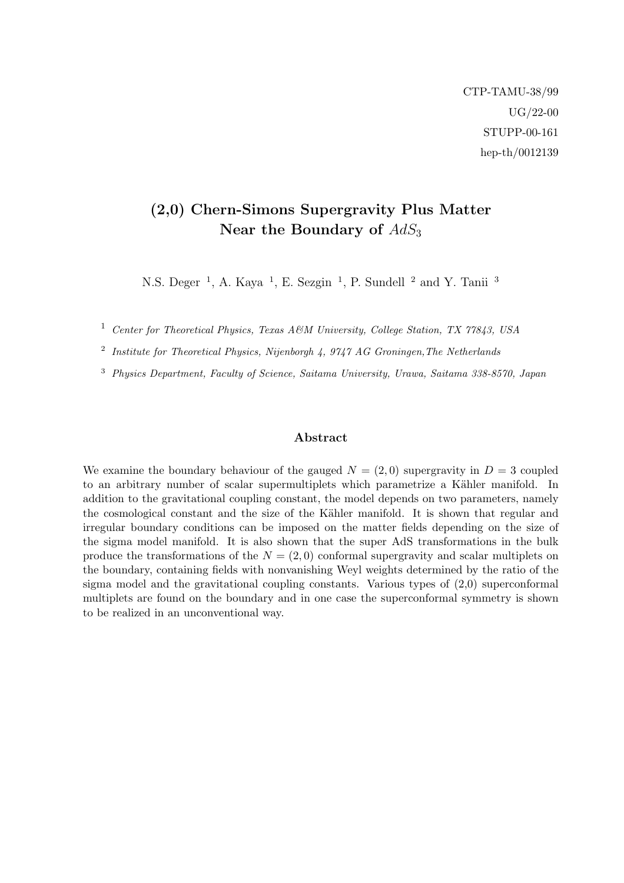# **(2,0) Chern-Simons Supergravity Plus Matter Near the Boundary of** *AdS*<sup>3</sup>

N.S. Deger<sup>1</sup>, A. Kaya<sup>1</sup>, E. Sezgin<sup>1</sup>, P. Sundell<sup>2</sup> and Y. Tanii<sup>3</sup>

<sup>1</sup> *Center for Theoretical Physics, Texas A&M University, College Station, TX 77843, USA*

2 *Institute for Theoretical Physics, Nijenborgh 4, 9747 AG Groningen,The Netherlands*

<sup>3</sup> *Physics Department, Faculty of Science, Saitama University, Urawa, Saitama 338-8570, Japan*

#### **Abstract**

We examine the boundary behaviour of the gauged  $N = (2, 0)$  supergravity in  $D = 3$  coupled to an arbitrary number of scalar supermultiplets which parametrize a Kähler manifold. In addition to the gravitational coupling constant, the model depends on two parameters, namely the cosmological constant and the size of the Kähler manifold. It is shown that regular and irregular boundary conditions can be imposed on the matter fields depending on the size of the sigma model manifold. It is also shown that the super AdS transformations in the bulk produce the transformations of the  $N = (2, 0)$  conformal supergravity and scalar multiplets on the boundary, containing fields with nonvanishing Weyl weights determined by the ratio of the sigma model and the gravitational coupling constants. Various types of (2,0) superconformal multiplets are found on the boundary and in one case the superconformal symmetry is shown to be realized in an unconventional way.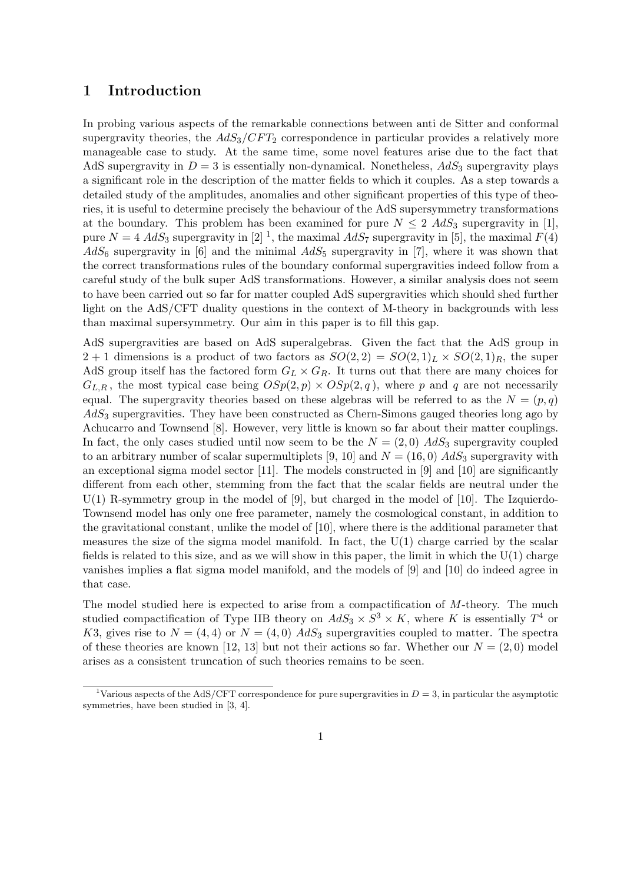## **1 Introduction**

In probing various aspects of the remarkable connections between anti de Sitter and conformal supergravity theories, the  $AdS_3/CFT_2$  correspondence in particular provides a relatively more manageable case to study. At the same time, some novel features arise due to the fact that AdS supergravity in  $D = 3$  is essentially non-dynamical. Nonetheless,  $AdS_3$  supergravity plays a significant role in the description of the matter fields to which it couples. As a step towards a detailed study of the amplitudes, anomalies and other significant properties of this type of theories, it is useful to determine precisely the behaviour of the AdS supersymmetry transformations at the boundary. This problem has been examined for pure  $N \leq 2$  *AdS*<sub>3</sub> supergravity in [1], pure  $N = 4$   $AdS_3$  supergravity in [2]<sup>1</sup>, the maximal  $AdS_7$  supergravity in [5], the maximal  $F(4)$ *AdS*<sup>6</sup> supergravity in [6] and the minimal *AdS*<sup>5</sup> supergravity in [7], where it was shown that the correct transformations rules of the boundary conformal supergravities indeed follow from a careful study of the bulk super AdS transformations. However, a similar analysis does not seem to have been carried out so far for matter coupled AdS supergravities which should shed further light on the AdS/CFT duality questions in the context of M-theory in backgrounds with less than maximal supersymmetry. Our aim in this paper is to fill this gap.

AdS supergravities are based on AdS superalgebras. Given the fact that the AdS group in  $2 + 1$  dimensions is a product of two factors as  $SO(2, 2) = SO(2, 1)_L \times SO(2, 1)_R$ , the super AdS group itself has the factored form  $G_L \times G_R$ . It turns out that there are many choices for  $G_{L,R}$ , the most typical case being  $OSp(2,p) \times OSp(2,q)$ , where p and q are not necessarily equal. The supergravity theories based on these algebras will be referred to as the  $N = (p, q)$ *AdS*<sup>3</sup> supergravities. They have been constructed as Chern-Simons gauged theories long ago by Achucarro and Townsend [8]. However, very little is known so far about their matter couplings. In fact, the only cases studied until now seem to be the  $N = (2,0)$   $AdS_3$  supergravity coupled to an arbitrary number of scalar supermultiplets [9, 10] and  $N = (16, 0)$   $AdS_3$  supergravity with an exceptional sigma model sector [11]. The models constructed in [9] and [10] are significantly different from each other, stemming from the fact that the scalar fields are neutral under the  $U(1)$  R-symmetry group in the model of [9], but charged in the model of [10]. The Izquierdo-Townsend model has only one free parameter, namely the cosmological constant, in addition to the gravitational constant, unlike the model of [10], where there is the additional parameter that measures the size of the sigma model manifold. In fact, the  $U(1)$  charge carried by the scalar fields is related to this size, and as we will show in this paper, the limit in which the  $U(1)$  charge vanishes implies a flat sigma model manifold, and the models of [9] and [10] do indeed agree in that case.

The model studied here is expected to arise from a compactification of *M*-theory. The much studied compactification of Type IIB theory on  $AdS_3 \times S^3 \times K$ , where *K* is essentially  $T^4$  or *K*3, gives rise to  $N = (4, 4)$  or  $N = (4, 0)$  *AdS*<sub>3</sub> supergravities coupled to matter. The spectra of these theories are known [12, 13] but not their actions so far. Whether our  $N = (2, 0)$  model arises as a consistent truncation of such theories remains to be seen.

<sup>&</sup>lt;sup>1</sup>Various aspects of the AdS/CFT correspondence for pure supergravities in  $D = 3$ , in particular the asymptotic symmetries, have been studied in [3, 4].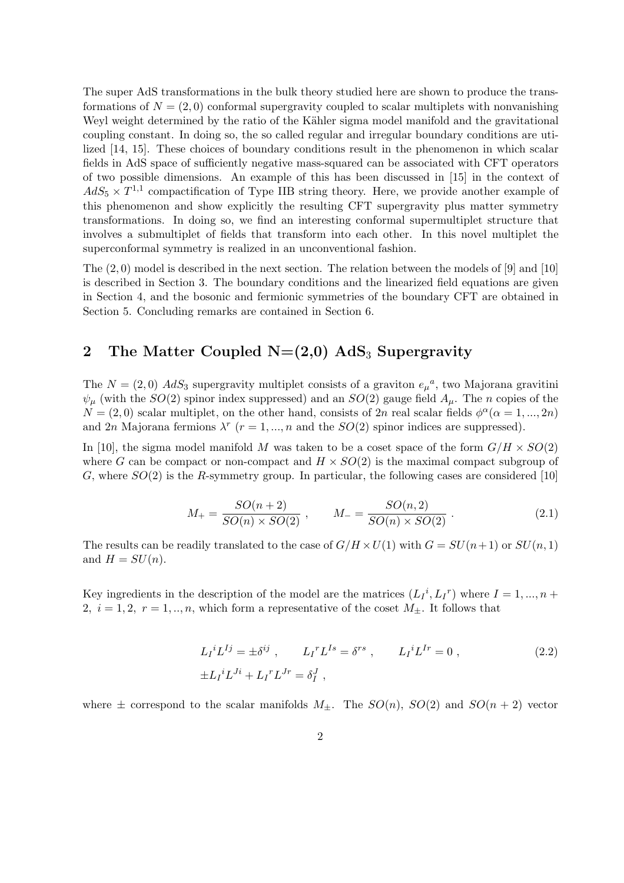The super AdS transformations in the bulk theory studied here are shown to produce the transformations of  $N = (2, 0)$  conformal supergravity coupled to scalar multiplets with nonvanishing Weyl weight determined by the ratio of the Kähler sigma model manifold and the gravitational coupling constant. In doing so, the so called regular and irregular boundary conditions are utilized [14, 15]. These choices of boundary conditions result in the phenomenon in which scalar fields in AdS space of sufficiently negative mass-squared can be associated with CFT operators of two possible dimensions. An example of this has been discussed in [15] in the context of  $AdS_5 \times T^{1,1}$  compactification of Type IIB string theory. Here, we provide another example of this phenomenon and show explicitly the resulting CFT supergravity plus matter symmetry transformations. In doing so, we find an interesting conformal supermultiplet structure that involves a submultiplet of fields that transform into each other. In this novel multiplet the superconformal symmetry is realized in an unconventional fashion.

The (2*,* 0) model is described in the next section. The relation between the models of [9] and [10] is described in Section 3. The boundary conditions and the linearized field equations are given in Section 4, and the bosonic and fermionic symmetries of the boundary CFT are obtained in Section 5. Concluding remarks are contained in Section 6.

# **2 The Matter Coupled N=(2,0) AdS**<sup>3</sup> **Supergravity**

The  $N = (2, 0)$   $AdS_3$  supergravity multiplet consists of a graviton  $e_\mu{}^a$ , two Majorana gravitini  $\psi_{\mu}$  (with the *SO*(2) spinor index suppressed) and an *SO*(2) gauge field  $A_{\mu}$ . The *n* copies of the  $N = (2, 0)$  scalar multiplet, on the other hand, consists of 2*n* real scalar fields  $\phi^{\alpha}(\alpha = 1, ..., 2n)$ and 2*n* Majorana fermions  $\lambda^r$  ( $r = 1, ..., n$  and the  $SO(2)$  spinor indices are suppressed).

In [10], the sigma model manifold *M* was taken to be a coset space of the form  $G/H \times SO(2)$ where *G* can be compact or non-compact and  $H \times SO(2)$  is the maximal compact subgroup of *G*, where *SO*(2) is the *R*-symmetry group. In particular, the following cases are considered [10]

$$
M_{+} = \frac{SO(n+2)}{SO(n) \times SO(2)} , \qquad M_{-} = \frac{SO(n,2)}{SO(n) \times SO(2)} . \tag{2.1}
$$

The results can be readily translated to the case of  $G/H \times U(1)$  with  $G = SU(n+1)$  or  $SU(n,1)$ and  $H = SU(n)$ .

Key ingredients in the description of the model are the matrices  $(L_I{}^i, L_I{}^r)$  where  $I = 1, ..., n +$ 2*,*  $i = 1, 2, r = 1, \ldots, n$ , which form a representative of the coset  $M_{\pm}$ . It follows that

$$
L_I{}^i L^{Ij} = \pm \delta^{ij} , \qquad L_I{}^r L^{Is} = \delta^{rs} , \qquad L_I{}^i L^{Ir} = 0 ,
$$
  

$$
\pm L_I{}^i L^{Ji} + L_I{}^r L^{Jr} = \delta_I^J ,
$$
 (2.2)

where  $\pm$  correspond to the scalar manifolds  $M_{\pm}$ . The  $SO(n)$ ,  $SO(2)$  and  $SO(n + 2)$  vector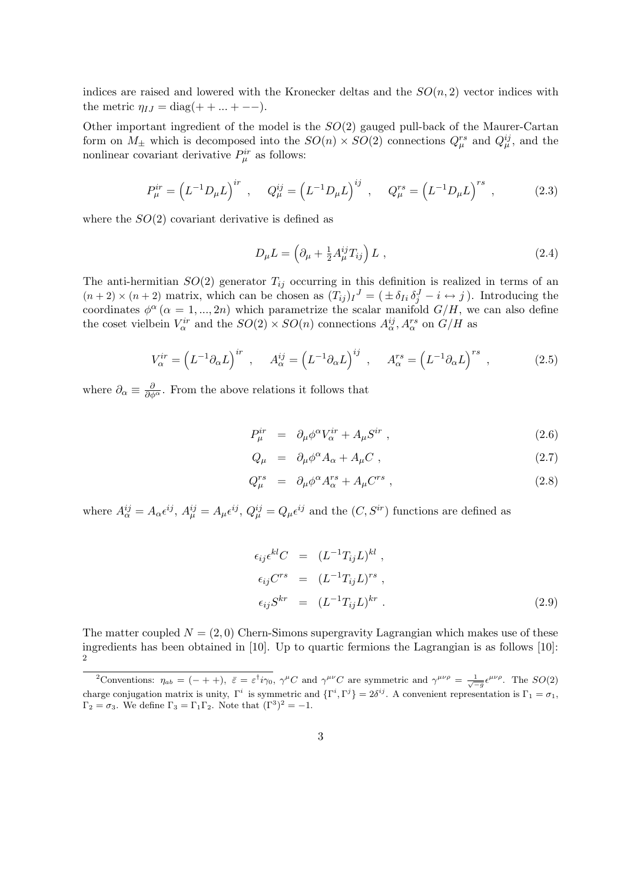indices are raised and lowered with the Kronecker deltas and the  $SO(n, 2)$  vector indices with the metric  $\eta_{IJ} = \text{diag}(+ + ... + - -).$ 

Other important ingredient of the model is the *SO*(2) gauged pull-back of the Maurer-Cartan form on  $M_{\pm}$  which is decomposed into the  $SO(n) \times SO(2)$  connections  $Q_{\mu}^{rs}$  and  $Q_{\mu}^{ij}$ , and the nonlinear covariant derivative  $P_{\mu}^{ir}$  as follows:

$$
P_{\mu}^{ir} = (L^{-1}D_{\mu}L)^{ir} , Q_{\mu}^{ij} = (L^{-1}D_{\mu}L)^{ij} , Q_{\mu}^{rs} = (L^{-1}D_{\mu}L)^{rs} ,
$$
 (2.3)

where the  $SO(2)$  covariant derivative is defined as

$$
D_{\mu}L = \left(\partial_{\mu} + \frac{1}{2}A_{\mu}^{ij}T_{ij}\right)L\tag{2.4}
$$

The anti-hermitian  $SO(2)$  generator  $T_{ij}$  occurring in this definition is realized in terms of an  $(n+2) \times (n+2)$  matrix, which can be chosen as  $(T_{ij})I^J = (\pm \delta_{Ii} \delta_j^J - i \leftrightarrow j)$ . Introducing the coordinates  $\phi^{\alpha}$  ( $\alpha = 1, ..., 2n$ ) which parametrize the scalar manifold  $G/H$ , we can also define the coset vielbein  $V_{\alpha}^{ir}$  and the  $SO(2) \times SO(n)$  connections  $A_{\alpha}^{ij}$ ,  $A_{\alpha}^{rs}$  on  $G/H$  as

$$
V_{\alpha}^{ir} = \left(L^{-1}\partial_{\alpha}L\right)^{ir} , \quad A_{\alpha}^{ij} = \left(L^{-1}\partial_{\alpha}L\right)^{ij} , \quad A_{\alpha}^{rs} = \left(L^{-1}\partial_{\alpha}L\right)^{rs} , \quad (2.5)
$$

where  $\partial_{\alpha} \equiv \frac{\partial}{\partial \phi^{\alpha}}$ . From the above relations it follows that

$$
P_{\mu}^{ir} = \partial_{\mu} \phi^{\alpha} V_{\alpha}^{ir} + A_{\mu} S^{ir} , \qquad (2.6)
$$

$$
Q_{\mu} = \partial_{\mu} \phi^{\alpha} A_{\alpha} + A_{\mu} C , \qquad (2.7)
$$

$$
Q_{\mu}^{rs} = \partial_{\mu} \phi^{\alpha} A_{\alpha}^{rs} + A_{\mu} C^{rs} , \qquad (2.8)
$$

where  $A_{\alpha}^{ij} = A_{\alpha} \epsilon^{ij}$ ,  $A_{\mu}^{ij} = A_{\mu} \epsilon^{ij}$ ,  $Q_{\mu}^{ij} = Q_{\mu} \epsilon^{ij}$  and the  $(C, S^{ir})$  functions are defined as

$$
\epsilon_{ij}\epsilon^{kl}C = (L^{-1}T_{ij}L)^{kl} ,
$$
  
\n
$$
\epsilon_{ij}C^{rs} = (L^{-1}T_{ij}L)^{rs} ,
$$
  
\n
$$
\epsilon_{ij}S^{kr} = (L^{-1}T_{ij}L)^{kr} .
$$
\n(2.9)

The matter coupled  $N = (2, 0)$  Chern-Simons supergravity Lagrangian which makes use of these ingredients has been obtained in [10]. Up to quartic fermions the Lagrangian is as follows [10]: 2

<sup>&</sup>lt;sup>2</sup>Conventions:  $\eta_{ab} = (- + +), \ \bar{\varepsilon} = \varepsilon^{\dagger} i \gamma_0, \ \gamma^{\mu} C$  and  $\gamma^{\mu\nu} C$  are symmetric and  $\gamma^{\mu\nu\rho} = \frac{1}{\sqrt{-g}} \epsilon^{\mu\nu\rho}$ . The  $SO(2)$ charge conjugation matrix is unity,  $\Gamma^i$  is symmetric and  $\{\Gamma^i, \Gamma^j\} = 2\delta^{ij}$ . A convenient representation is  $\Gamma_1 = \sigma_1$ ,  $\Gamma_2 = \sigma_3$ . We define  $\Gamma_3 = \Gamma_1 \Gamma_2$ . Note that  $(\Gamma^3)^2 = -1$ .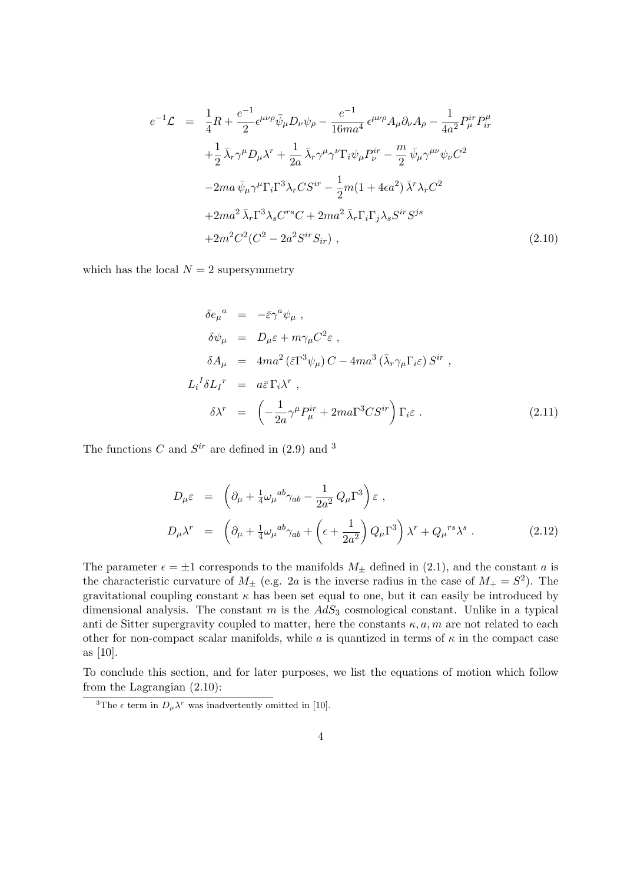$$
e^{-1}\mathcal{L} = \frac{1}{4}R + \frac{e^{-1}}{2}\epsilon^{\mu\nu\rho}\bar{\psi}_{\mu}D_{\nu}\psi_{\rho} - \frac{e^{-1}}{16ma^{4}}\epsilon^{\mu\nu\rho}A_{\mu}\partial_{\nu}A_{\rho} - \frac{1}{4a^{2}}P_{\mu}^{ir}P_{ir}^{\mu}
$$
  
+
$$
\frac{1}{2}\bar{\lambda}_{r}\gamma^{\mu}D_{\mu}\lambda^{r} + \frac{1}{2a}\bar{\lambda}_{r}\gamma^{\mu}\gamma^{\nu}\Gamma_{i}\psi_{\mu}P_{\nu}^{ir} - \frac{m}{2}\bar{\psi}_{\mu}\gamma^{\mu\nu}\psi_{\nu}C^{2}
$$

$$
-2ma\bar{\psi}_{\mu}\gamma^{\mu}\Gamma_{i}\Gamma^{3}\lambda_{r}CS^{ir} - \frac{1}{2}m(1 + 4\epsilon a^{2})\bar{\lambda}^{r}\lambda_{r}C^{2}
$$

$$
+2ma^{2}\bar{\lambda}_{r}\Gamma^{3}\lambda_{s}C^{rs}C + 2ma^{2}\bar{\lambda}_{r}\Gamma_{i}\Gamma_{j}\lambda_{s}S^{ir}S^{js}
$$

$$
+2m^{2}C^{2}(C^{2} - 2a^{2}S^{ir}S_{ir}), \qquad (2.10)
$$

which has the local  $N = 2$  supersymmetry

$$
\delta e_{\mu}^{a} = -\bar{\varepsilon}\gamma^{a}\psi_{\mu} ,
$$
\n
$$
\delta \psi_{\mu} = D_{\mu}\varepsilon + m\gamma_{\mu}C^{2}\varepsilon ,
$$
\n
$$
\delta A_{\mu} = 4ma^{2} (\bar{\varepsilon}\Gamma^{3}\psi_{\mu}) C - 4ma^{3} (\bar{\lambda}_{r}\gamma_{\mu}\Gamma_{i}\varepsilon) S^{ir} ,
$$
\n
$$
L_{i}{}^{I}\delta L_{I}{}^{r} = a\bar{\varepsilon}\Gamma_{i}\lambda^{r} ,
$$
\n
$$
\delta \lambda^{r} = \left(-\frac{1}{2a}\gamma^{\mu}P_{\mu}^{ir} + 2ma\Gamma^{3}CS^{ir}\right)\Gamma_{i}\varepsilon .
$$
\n(2.11)

The functions *C* and  $S^{ir}$  are defined in (2.9) and <sup>3</sup>

$$
D_{\mu}\varepsilon = \left(\partial_{\mu} + \frac{1}{4}\omega_{\mu}{}^{ab}\gamma_{ab} - \frac{1}{2a^{2}}Q_{\mu}\Gamma^{3}\right)\varepsilon,
$$
  
\n
$$
D_{\mu}\lambda^{r} = \left(\partial_{\mu} + \frac{1}{4}\omega_{\mu}{}^{ab}\gamma_{ab} + \left(\epsilon + \frac{1}{2a^{2}}\right)Q_{\mu}\Gamma^{3}\right)\lambda^{r} + Q_{\mu}{}^{rs}\lambda^{s}.
$$
\n(2.12)

The parameter  $\epsilon = \pm 1$  corresponds to the manifolds  $M_{\pm}$  defined in (2.1), and the constant *a* is the characteristic curvature of  $M_{\pm}$  (e.g. 2*a* is the inverse radius in the case of  $M_{+} = S^2$ ). The gravitational coupling constant  $\kappa$  has been set equal to one, but it can easily be introduced by dimensional analysis. The constant  $m$  is the  $AdS_3$  cosmological constant. Unlike in a typical anti de Sitter supergravity coupled to matter, here the constants  $\kappa, a, m$  are not related to each other for non-compact scalar manifolds, while *a* is quantized in terms of  $\kappa$  in the compact case as [10].

To conclude this section, and for later purposes, we list the equations of motion which follow from the Lagrangian (2.10):

<sup>&</sup>lt;sup>3</sup>The  $\epsilon$  term in  $D_{\mu} \lambda^{r}$  was inadvertently omitted in [10].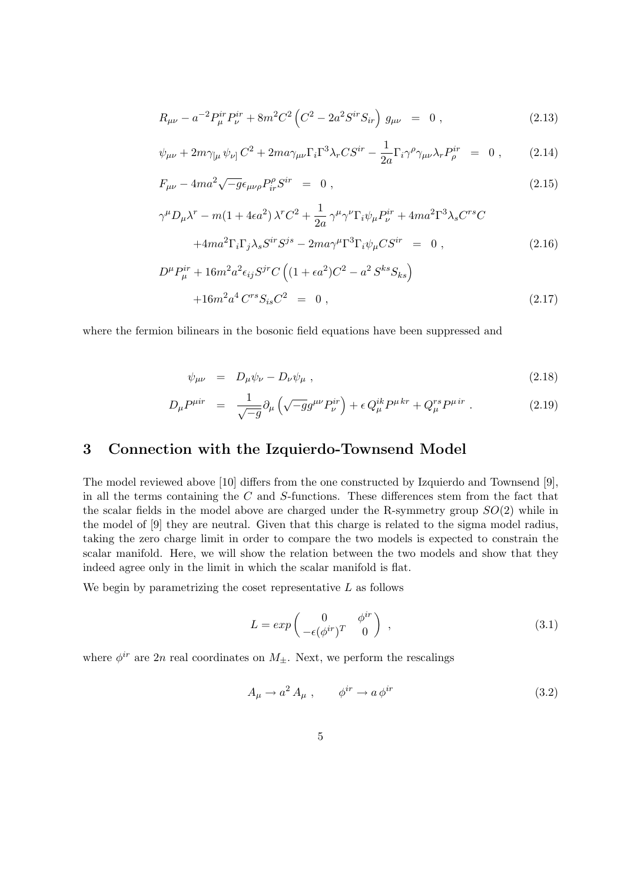$$
R_{\mu\nu} - a^{-2} P_{\mu}^{ir} P_{\nu}^{ir} + 8m^2 C^2 \left( C^2 - 2a^2 S^{ir} S_{ir} \right) g_{\mu\nu} = 0 , \qquad (2.13)
$$

$$
\psi_{\mu\nu} + 2m\gamma_{[\mu}\psi_{\nu]}C^2 + 2ma\gamma_{\mu\nu}\Gamma_i\Gamma^3\lambda_rCS^{ir} - \frac{1}{2a}\Gamma_i\gamma^\rho\gamma_{\mu\nu}\lambda_rP^{ir}_\rho = 0, \qquad (2.14)
$$

$$
F_{\mu\nu} - 4ma^2 \sqrt{-g} \epsilon_{\mu\nu\rho} P_{ir}^{\rho} S^{ir} = 0 , \qquad (2.15)
$$

$$
\gamma^{\mu}D_{\mu}\lambda^{r} - m(1 + 4\epsilon a^{2})\lambda^{r}C^{2} + \frac{1}{2a}\gamma^{\mu}\gamma^{\nu}\Gamma_{i}\psi_{\mu}P_{\nu}^{ir} + 4ma^{2}\Gamma^{3}\lambda_{s}C^{rs}C
$$

$$
+ 4ma^{2}\Gamma_{i}\Gamma_{j}\lambda_{s}S^{ir}S^{js} - 2ma\gamma^{\mu}\Gamma^{3}\Gamma_{i}\psi_{\mu}CS^{ir} = 0 , \qquad (2.16)
$$

$$
D^{\mu}P_{\mu}^{ir} + 16m^2a^2\epsilon_{ij}S^{jr}C\left((1 + \epsilon a^2)C^2 - a^2S^{ks}S_{ks}\right) + 16m^2a^4C^{rs}S_{is}C^2 = 0,
$$
\n(2.17)

where the fermion bilinears in the bosonic field equations have been suppressed and

$$
\psi_{\mu\nu} = D_{\mu}\psi_{\nu} - D_{\nu}\psi_{\mu} , \qquad (2.18)
$$

$$
D_{\mu}P^{\mu i r} = \frac{1}{\sqrt{-g}} \partial_{\mu} \left( \sqrt{-g}g^{\mu \nu} P_{\nu}^{ir} \right) + \epsilon Q_{\mu}^{ik} P^{\mu k r} + Q_{\mu}^{rs} P^{\mu i r} . \qquad (2.19)
$$

# **3 Connection with the Izquierdo-Townsend Model**

The model reviewed above [10] differs from the one constructed by Izquierdo and Townsend [9], in all the terms containing the *C* and *S*-functions. These differences stem from the fact that the scalar fields in the model above are charged under the R-symmetry group *SO*(2) while in the model of [9] they are neutral. Given that this charge is related to the sigma model radius, taking the zero charge limit in order to compare the two models is expected to constrain the scalar manifold. Here, we will show the relation between the two models and show that they indeed agree only in the limit in which the scalar manifold is flat.

We begin by parametrizing the coset representative *L* as follows

$$
L = exp\begin{pmatrix} 0 & \phi^{ir} \\ -\epsilon(\phi^{ir})^T & 0 \end{pmatrix}, \qquad (3.1)
$$

where  $\phi^{ir}$  are 2*n* real coordinates on  $M_{\pm}$ . Next, we perform the rescalings

$$
A_{\mu} \to a^2 A_{\mu} , \qquad \phi^{ir} \to a \, \phi^{ir} \tag{3.2}
$$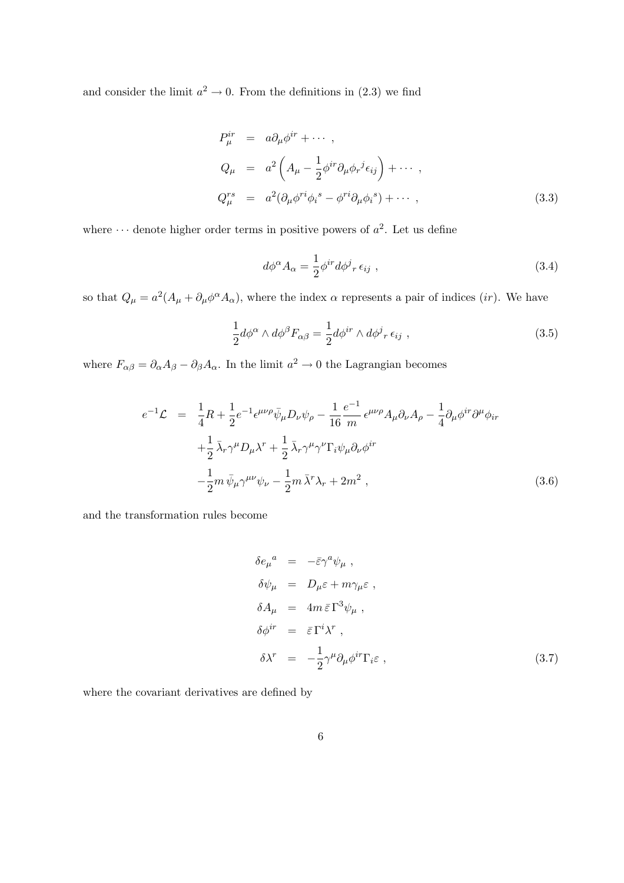and consider the limit  $a^2 \to 0$ . From the definitions in (2.3) we find

$$
P_{\mu}^{ir} = a \partial_{\mu} \phi^{ir} + \cdots ,
$$
  
\n
$$
Q_{\mu} = a^{2} \left( A_{\mu} - \frac{1}{2} \phi^{ir} \partial_{\mu} \phi_{r}{}^{j} \epsilon_{ij} \right) + \cdots ,
$$
  
\n
$$
Q_{\mu}^{rs} = a^{2} (\partial_{\mu} \phi^{ri} \phi_{i}{}^{s} - \phi^{ri} \partial_{\mu} \phi_{i}{}^{s}) + \cdots ,
$$
\n(3.3)

where  $\cdots$  denote higher order terms in positive powers of  $a^2$ . Let us define

$$
d\phi^{\alpha}A_{\alpha} = \frac{1}{2}\phi^{ir}d\phi^{j}{}_{r}\epsilon_{ij} , \qquad (3.4)
$$

so that  $Q_{\mu} = a^2 (A_{\mu} + \partial_{\mu} \phi^{\alpha} A_{\alpha})$ , where the index  $\alpha$  represents a pair of indices *(ir)*. We have

$$
\frac{1}{2}d\phi^{\alpha} \wedge d\phi^{\beta} F_{\alpha\beta} = \frac{1}{2}d\phi^{ir} \wedge d\phi^{j}{}_{r} \epsilon_{ij} , \qquad (3.5)
$$

where  $F_{\alpha\beta} = \partial_{\alpha}A_{\beta} - \partial_{\beta}A_{\alpha}$ . In the limit  $a^2 \to 0$  the Lagrangian becomes

$$
e^{-1}\mathcal{L} = \frac{1}{4}R + \frac{1}{2}e^{-1}\epsilon^{\mu\nu\rho}\bar{\psi}_{\mu}D_{\nu}\psi_{\rho} - \frac{1}{16}\frac{e^{-1}}{m}\epsilon^{\mu\nu\rho}A_{\mu}\partial_{\nu}A_{\rho} - \frac{1}{4}\partial_{\mu}\phi^{ir}\partial^{\mu}\phi_{ir} + \frac{1}{2}\bar{\lambda}_{r}\gamma^{\mu}D_{\mu}\lambda^{r} + \frac{1}{2}\bar{\lambda}_{r}\gamma^{\mu}\gamma^{\nu}\Gamma_{i}\psi_{\mu}\partial_{\nu}\phi^{ir} -\frac{1}{2}m\bar{\psi}_{\mu}\gamma^{\mu\nu}\psi_{\nu} - \frac{1}{2}m\bar{\lambda}^{r}\lambda_{r} + 2m^{2} ,
$$
 (3.6)

and the transformation rules become

$$
\delta e_{\mu}^{a} = -\bar{\varepsilon}\gamma^{a}\psi_{\mu} ,
$$
  
\n
$$
\delta\psi_{\mu} = D_{\mu}\varepsilon + m\gamma_{\mu}\varepsilon ,
$$
  
\n
$$
\delta A_{\mu} = 4m\,\bar{\varepsilon}\,\Gamma^{3}\psi_{\mu} ,
$$
  
\n
$$
\delta\phi^{ir} = \bar{\varepsilon}\,\Gamma^{i}\lambda^{r} ,
$$
  
\n
$$
\delta\lambda^{r} = -\frac{1}{2}\gamma^{\mu}\partial_{\mu}\phi^{ir}\Gamma_{i}\varepsilon ,
$$
\n(3.7)

where the covariant derivatives are defined by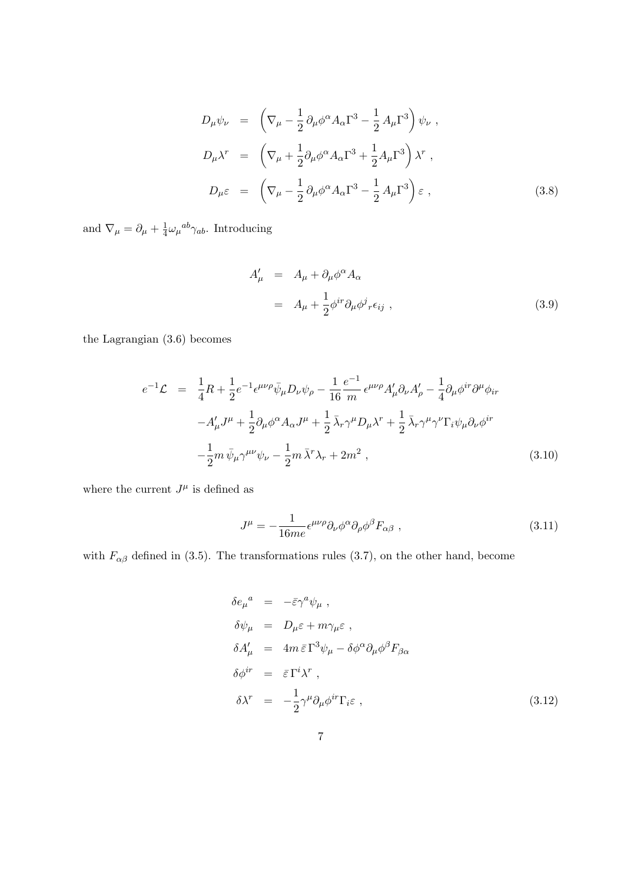$$
D_{\mu}\psi_{\nu} = \left(\nabla_{\mu} - \frac{1}{2}\partial_{\mu}\phi^{\alpha}A_{\alpha}\Gamma^{3} - \frac{1}{2}A_{\mu}\Gamma^{3}\right)\psi_{\nu},
$$
  
\n
$$
D_{\mu}\lambda^{r} = \left(\nabla_{\mu} + \frac{1}{2}\partial_{\mu}\phi^{\alpha}A_{\alpha}\Gamma^{3} + \frac{1}{2}A_{\mu}\Gamma^{3}\right)\lambda^{r},
$$
  
\n
$$
D_{\mu}\varepsilon = \left(\nabla_{\mu} - \frac{1}{2}\partial_{\mu}\phi^{\alpha}A_{\alpha}\Gamma^{3} - \frac{1}{2}A_{\mu}\Gamma^{3}\right)\varepsilon,
$$
\n(3.8)

and  $\nabla_{\mu} = \partial_{\mu} + \frac{1}{4}$  $\frac{1}{4}\omega_{\mu}^{ab}\gamma_{ab}$ . Introducing

$$
A'_{\mu} = A_{\mu} + \partial_{\mu} \phi^{\alpha} A_{\alpha}
$$
  
=  $A_{\mu} + \frac{1}{2} \phi^{ir} \partial_{\mu} \phi^{j}{}_{r} \epsilon_{ij}$ , (3.9)

the Lagrangian (3.6) becomes

$$
e^{-1}\mathcal{L} = \frac{1}{4}R + \frac{1}{2}e^{-1}\epsilon^{\mu\nu\rho}\bar{\psi}_{\mu}D_{\nu}\psi_{\rho} - \frac{1}{16}\frac{e^{-1}}{m}\epsilon^{\mu\nu\rho}A'_{\mu}\partial_{\nu}A'_{\rho} - \frac{1}{4}\partial_{\mu}\phi^{ir}\partial^{\mu}\phi_{ir}
$$

$$
-A'_{\mu}J^{\mu} + \frac{1}{2}\partial_{\mu}\phi^{\alpha}A_{\alpha}J^{\mu} + \frac{1}{2}\bar{\lambda}_{r}\gamma^{\mu}D_{\mu}\lambda^{r} + \frac{1}{2}\bar{\lambda}_{r}\gamma^{\mu}\gamma^{\nu}\Gamma_{i}\psi_{\mu}\partial_{\nu}\phi^{ir}
$$

$$
-\frac{1}{2}m\bar{\psi}_{\mu}\gamma^{\mu\nu}\psi_{\nu} - \frac{1}{2}m\bar{\lambda}^{r}\lambda_{r} + 2m^{2}, \qquad (3.10)
$$

where the current  $J^{\mu}$  is defined as

$$
J^{\mu} = -\frac{1}{16me} \epsilon^{\mu\nu\rho} \partial_{\nu}\phi^{\alpha} \partial_{\rho}\phi^{\beta} F_{\alpha\beta} , \qquad (3.11)
$$

with  $F_{\alpha\beta}$  defined in (3.5). The transformations rules (3.7), on the other hand, become

$$
\delta e_{\mu}^{a} = -\bar{\varepsilon}\gamma^{a}\psi_{\mu} ,
$$
  
\n
$$
\delta \psi_{\mu} = D_{\mu}\varepsilon + m\gamma_{\mu}\varepsilon ,
$$
  
\n
$$
\delta A'_{\mu} = 4m \bar{\varepsilon}\Gamma^{3}\psi_{\mu} - \delta\phi^{\alpha}\partial_{\mu}\phi^{\beta}F_{\beta\alpha}
$$
  
\n
$$
\delta \phi^{ir} = \bar{\varepsilon}\Gamma^{i}\lambda^{r} ,
$$
  
\n
$$
\delta \lambda^{r} = -\frac{1}{2}\gamma^{\mu}\partial_{\mu}\phi^{ir}\Gamma_{i}\varepsilon ,
$$
\n(3.12)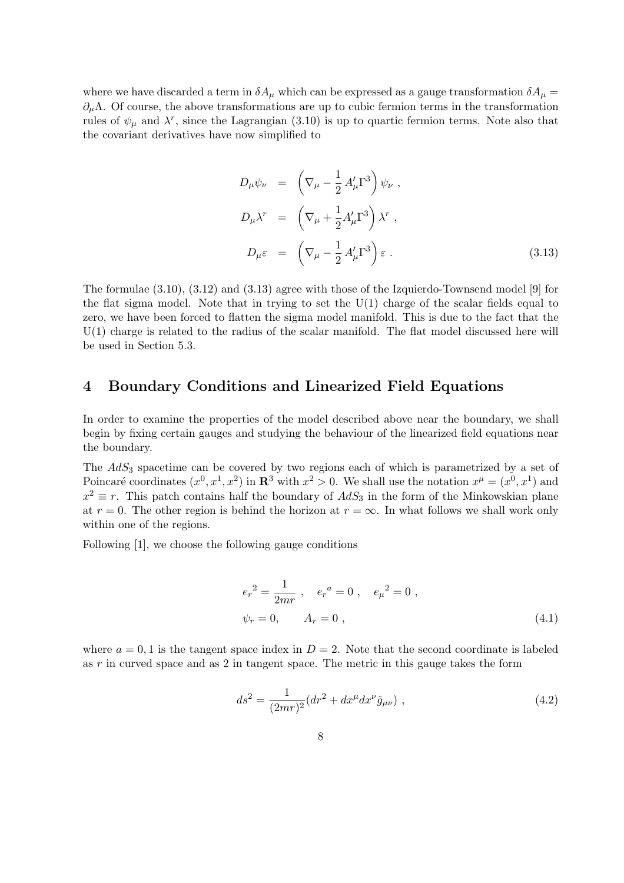where we have discarded a term in  $\delta A_\mu$  which can be expressed as a gauge transformation  $\delta A_\mu$  = *∂*<sup>*µ*</sup>Λ. Of course, the above transformations are up to cubic fermion terms in the transformation rules of  $\psi_{\mu}$  and  $\lambda^{r}$ , since the Lagrangian (3.10) is up to quartic fermion terms. Note also that the covariant derivatives have now simplified to

$$
D_{\mu}\psi_{\nu} = \left(\nabla_{\mu} - \frac{1}{2}A'_{\mu}\Gamma^{3}\right)\psi_{\nu},
$$
  
\n
$$
D_{\mu}\lambda^{r} = \left(\nabla_{\mu} + \frac{1}{2}A'_{\mu}\Gamma^{3}\right)\lambda^{r},
$$
  
\n
$$
D_{\mu}\varepsilon = \left(\nabla_{\mu} - \frac{1}{2}A'_{\mu}\Gamma^{3}\right)\varepsilon.
$$
\n(3.13)

The formulae (3.10), (3.12) and (3.13) agree with those of the Izquierdo-Townsend model [9] for the flat sigma model. Note that in trying to set the  $U(1)$  charge of the scalar fields equal to zero, we have been forced to flatten the sigma model manifold. This is due to the fact that the U(1) charge is related to the radius of the scalar manifold. The flat model discussed here will be used in Section 5.3.

## **4 Boundary Conditions and Linearized Field Equations**

In order to examine the properties of the model described above near the boundary, we shall begin by fixing certain gauges and studying the behaviour of the linearized field equations near the boundary.

The *AdS*<sup>3</sup> spacetime can be covered by two regions each of which is parametrized by a set of Poincaré coordinates  $(x^0, x^1, x^2)$  in  $\mathbb{R}^3$  with  $x^2 > 0$ . We shall use the notation  $x^{\mu} = (x^0, x^1)$  and  $x^2 \equiv r$ . This patch contains half the boundary of  $AdS_3$  in the form of the Minkowskian plane at  $r = 0$ . The other region is behind the horizon at  $r = \infty$ . In what follows we shall work only within one of the regions.

Following [1], we choose the following gauge conditions

$$
e_r^2 = \frac{1}{2mr}, \quad e_r^a = 0, \quad e_\mu^a = 0,
$$
  

$$
\psi_r = 0, \qquad A_r = 0,
$$
 (4.1)

where  $a = 0, 1$  is the tangent space index in  $D = 2$ . Note that the second coordinate is labeled as *r* in curved space and as 2 in tangent space. The metric in this gauge takes the form

$$
ds^{2} = \frac{1}{(2mr)^{2}}(dr^{2} + dx^{\mu}dx^{\nu}\hat{g}_{\mu\nu}) , \qquad (4.2)
$$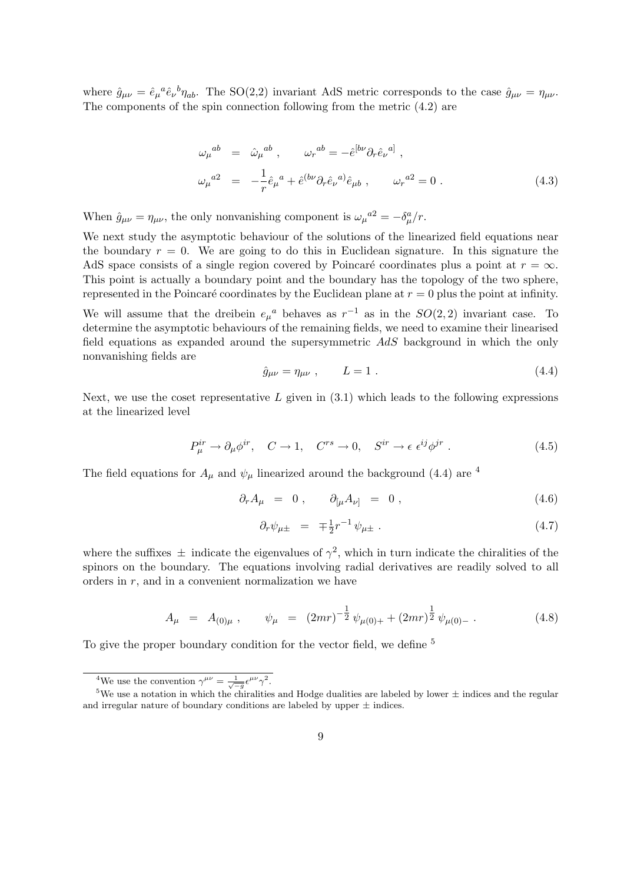where  $\hat{g}_{\mu\nu} = \hat{e}_{\mu}{}^{a} \hat{e}_{\nu}{}^{b} \eta_{ab}$ . The SO(2,2) invariant AdS metric corresponds to the case  $\hat{g}_{\mu\nu} = \eta_{\mu\nu}$ . The components of the spin connection following from the metric (4.2) are

$$
\omega_{\mu}^{ab} = \hat{\omega}_{\mu}^{ab} , \qquad \omega_{r}^{ab} = -\hat{e}^{[b\nu} \partial_{r} \hat{e}_{\nu}^{a]},
$$
  

$$
\omega_{\mu}^{a2} = -\frac{1}{r} \hat{e}_{\mu}^{a} + \hat{e}^{(b\nu} \partial_{r} \hat{e}_{\nu}^{a}) \hat{e}_{\mu b} , \qquad \omega_{r}^{a2} = 0 .
$$
 (4.3)

When  $\hat{g}_{\mu\nu} = \eta_{\mu\nu}$ , the only nonvanishing component is  $\omega_{\mu}{}^{a2} = -\delta_{\mu}^{a}/r$ .

We next study the asymptotic behaviour of the solutions of the linearized field equations near the boundary  $r = 0$ . We are going to do this in Euclidean signature. In this signature the AdS space consists of a single region covered by Poincaré coordinates plus a point at  $r = \infty$ . This point is actually a boundary point and the boundary has the topology of the two sphere, represented in the Poincaré coordinates by the Euclidean plane at  $r = 0$  plus the point at infinity.

We will assume that the dreibein  $e_{\mu}{}^{a}$  behaves as  $r^{-1}$  as in the  $SO(2, 2)$  invariant case. To determine the asymptotic behaviours of the remaining fields, we need to examine their linearised field equations as expanded around the supersymmetric *AdS* background in which the only nonvanishing fields are

$$
\hat{g}_{\mu\nu} = \eta_{\mu\nu} \;, \qquad L = 1 \; . \tag{4.4}
$$

Next, we use the coset representative *L* given in (3.1) which leads to the following expressions at the linearized level

$$
P_{\mu}^{ir} \to \partial_{\mu} \phi^{ir}, \quad C \to 1, \quad C^{rs} \to 0, \quad S^{ir} \to \epsilon \epsilon^{ij} \phi^{jr} . \tag{4.5}
$$

The field equations for  $A_\mu$  and  $\psi_\mu$  linearized around the background (4.4) are <sup>4</sup>

$$
\partial_r A_\mu = 0 , \qquad \partial_{[\mu} A_{\nu]} = 0 , \qquad (4.6)
$$

$$
\partial_r \psi_{\mu \pm} = \mp \frac{1}{2} r^{-1} \psi_{\mu \pm} \,. \tag{4.7}
$$

where the suffixes  $\pm$  indicate the eigenvalues of  $\gamma^2$ , which in turn indicate the chiralities of the spinors on the boundary. The equations involving radial derivatives are readily solved to all orders in *r*, and in a convenient normalization we have

$$
A_{\mu} = A_{(0)\mu} , \qquad \psi_{\mu} = (2mr)^{-\frac{1}{2}} \psi_{\mu(0)+} + (2mr)^{\frac{1}{2}} \psi_{\mu(0)-} . \qquad (4.8)
$$

To give the proper boundary condition for the vector field, we define <sup>5</sup>

<sup>&</sup>lt;sup>4</sup>We use the convention  $\gamma^{\mu\nu} = \frac{1}{\sqrt{-g}} \epsilon^{\mu\nu} \gamma^2$ .

<sup>5</sup>We use a notation in which the chiralities and Hodge dualities are labeled by lower *<sup>±</sup>* indices and the regular and irregular nature of boundary conditions are labeled by upper  $\pm$  indices.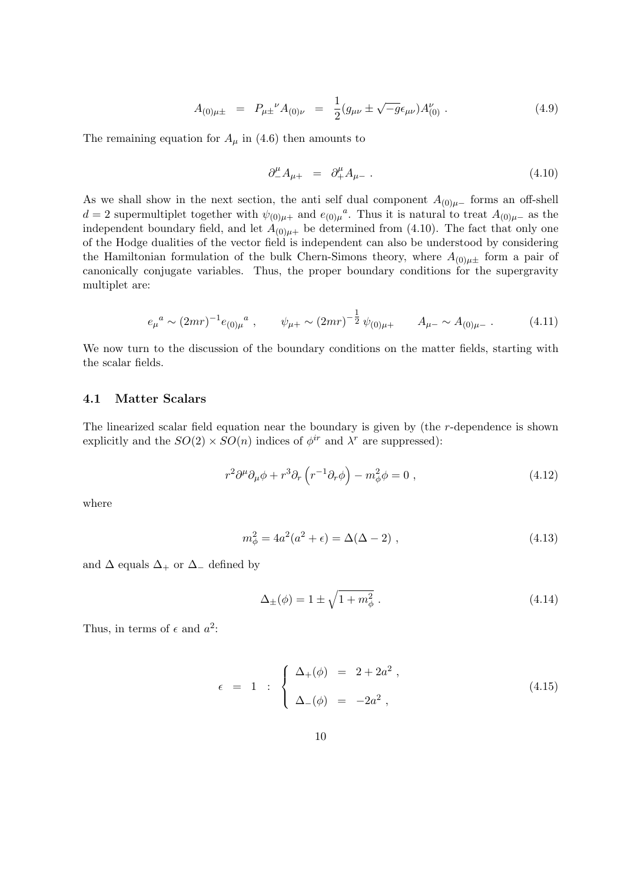$$
A_{(0)\mu\pm} = P_{\mu\pm}{}^{\nu} A_{(0)\nu} = \frac{1}{2} (g_{\mu\nu} \pm \sqrt{-g} \epsilon_{\mu\nu}) A_{(0)}^{\nu} . \tag{4.9}
$$

The remaining equation for  $A_\mu$  in (4.6) then amounts to

$$
\partial_{-}^{\mu}A_{\mu+} = \partial_{+}^{\mu}A_{\mu-} \tag{4.10}
$$

As we shall show in the next section, the anti self dual component  $A_{(0)\mu}$ <sup>−</sup> forms an off-shell  $d = 2$  supermultiplet together with  $\psi_{(0)\mu+}$  and  $e_{(0)\mu}^a$ . Thus it is natural to treat  $A_{(0)\mu-}$  as the independent boundary field, and let  $A_{(0)\mu+}$  be determined from (4.10). The fact that only one of the Hodge dualities of the vector field is independent can also be understood by considering the Hamiltonian formulation of the bulk Chern-Simons theory, where  $A_{(0)\mu\pm}$  form a pair of canonically conjugate variables. Thus, the proper boundary conditions for the supergravity multiplet are:

$$
e_{\mu}{}^{a} \sim (2mr)^{-1} e_{(0)\mu}{}^{a} , \qquad \psi_{\mu+} \sim (2mr)^{-\frac{1}{2}} \psi_{(0)\mu+} \qquad A_{\mu-} \sim A_{(0)\mu-} . \tag{4.11}
$$

We now turn to the discussion of the boundary conditions on the matter fields, starting with the scalar fields.

#### **4.1 Matter Scalars**

The linearized scalar field equation near the boundary is given by (the *r*-dependence is shown explicitly and the  $SO(2) \times SO(n)$  indices of  $\phi^{ir}$  and  $\lambda^r$  are suppressed):

$$
r^2 \partial^\mu \partial_\mu \phi + r^3 \partial_r \left( r^{-1} \partial_r \phi \right) - m_\phi^2 \phi = 0 , \qquad (4.12)
$$

where

$$
m_{\phi}^{2} = 4a^{2}(a^{2} + \epsilon) = \Delta(\Delta - 2) , \qquad (4.13)
$$

and  $\Delta$  equals  $\Delta_+$  or  $\Delta_-$  defined by

$$
\Delta_{\pm}(\phi) = 1 \pm \sqrt{1 + m_{\phi}^2} \,. \tag{4.14}
$$

Thus, in terms of  $\epsilon$  and  $a^2$ :

$$
\epsilon = 1 : \begin{cases} \Delta_{+}(\phi) = 2 + 2a^{2}, \\ \Delta_{-}(\phi) = -2a^{2}, \end{cases}
$$
 (4.15)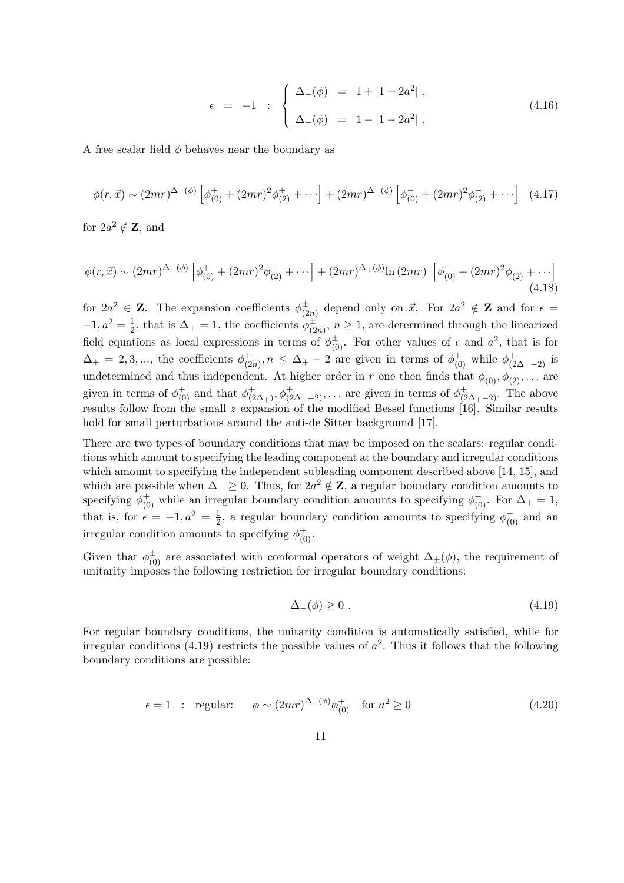$$
\epsilon = -1 : \begin{cases} \Delta_+(\phi) = 1 + |1 - 2a^2|, \\ \Delta_-(\phi) = 1 - |1 - 2a^2|. \end{cases}
$$
\n(4.16)

A free scalar field *φ* behaves near the boundary as

$$
\phi(r,\vec{x}) \sim (2mr)^{\Delta_{-}(\phi)} \left[ \phi_{(0)}^{+} + (2mr)^{2} \phi_{(2)}^{+} + \cdots \right] + (2mr)^{\Delta_{+}(\phi)} \left[ \phi_{(0)}^{-} + (2mr)^{2} \phi_{(2)}^{-} + \cdots \right] \tag{4.17}
$$

for  $2a^2 \notin \mathbf{Z}$ , and

$$
\phi(r,\vec{x}) \sim (2mr)^{\Delta_{-}(\phi)} \left[ \phi_{(0)}^{+} + (2mr)^{2} \phi_{(2)}^{+} + \cdots \right] + (2mr)^{\Delta_{+}(\phi)} \ln (2mr) \left[ \phi_{(0)}^{-} + (2mr)^{2} \phi_{(2)}^{-} + \cdots \right]
$$
\n(4.18)

for  $2a^2 \in \mathbb{Z}$ . The expansion coefficients  $\phi_{(2n)}^{\pm}$  depend only on  $\vec{x}$ . For  $2a^2 \notin \mathbb{Z}$  and for  $\epsilon =$  $-1, a^2 = \frac{1}{2}$ , that is  $\Delta_+ = 1$ , the coefficients  $\phi_{(2n)}^{\pm}$ ,  $n \ge 1$ , are determined through the linearized field equations as local expressions in terms of  $\phi_{(0)}^{\pm}$ . For other values of  $\epsilon$  and  $a^2$ , that is for  $\Delta_+ = 2, 3, ...,$  the coefficients  $\phi^+_{(2)}$  $\phi^+_{(2n)}, n \leq \Delta_+ - 2$  are given in terms of  $\phi^+_{(0)}$  while  $\phi^+_{(2\Delta_+ - 2)}$  is undetermined and thus independent. At higher order in *r* one then finds that  $\phi_{(0)}^-, \phi_{(2)}^-, \ldots$  are given in terms of  $\phi_{(0)}^+$  and that  $\phi_{(2)}^+$  $\phi^+_{(2\Delta_+)}, \phi^+_{(2\Delta_++2)}, \ldots$  are given in terms of  $\phi^+_{(2\Delta_+-2)}$ . The above results follow from the small *z* expansion of the modified Bessel functions [16]. Similar results hold for small perturbations around the anti-de Sitter background [17].

There are two types of boundary conditions that may be imposed on the scalars: regular conditions which amount to specifying the leading component at the boundary and irregular conditions which amount to specifying the independent subleading component described above [14, 15], and which are possible when  $\Delta$ <sub>−</sub>  $\geq$  0. Thus, for  $2a^2 \notin \mathbb{Z}$ , a regular boundary condition amounts to specifying  $\phi_{(0)}^+$  while an irregular boundary condition amounts to specifying  $\phi_{(0)}^-$ . For  $\Delta_+ = 1$ , that is, for  $\epsilon = -1, a^2 = \frac{1}{2}$  $\frac{1}{2}$ , a regular boundary condition amounts to specifying  $\phi_{(0)}^-$  and an irregular condition amounts to specifying  $\phi_{(0)}^+$ .

Given that  $\phi_{(0)}^{\pm}$  are associated with conformal operators of weight  $\Delta_{\pm}(\phi)$ , the requirement of unitarity imposes the following restriction for irregular boundary conditions:

$$
\Delta_{-}(\phi) \ge 0 \tag{4.19}
$$

For regular boundary conditions, the unitarity condition is automatically satisfied, while for irregular conditions  $(4.19)$  restricts the possible values of  $a^2$ . Thus it follows that the following boundary conditions are possible:

$$
\epsilon = 1 \quad : \quad \text{regular:} \quad \phi \sim (2mr)^{\Delta_{-}(\phi)} \phi_{(0)}^{+} \quad \text{for } a^{2} \ge 0 \tag{4.20}
$$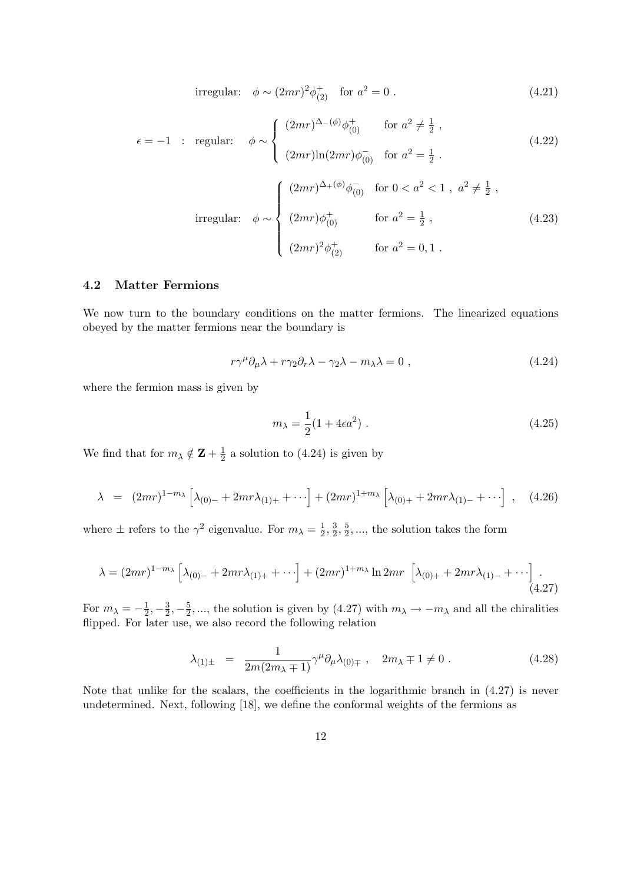irregular: 
$$
\phi \sim (2mr)^2 \phi_{(2)}^+
$$
 for  $a^2 = 0$ . (4.21)

$$
\epsilon = -1 \quad : \text{ regular:} \quad \phi \sim \begin{cases} (2mr)^{\Delta_{-}(\phi)} \phi_{(0)}^{+} & \text{for } a^{2} \neq \frac{1}{2} \,, \\ (2mr) \ln(2mr) \phi_{(0)}^{-} & \text{for } a^{2} = \frac{1}{2} \,. \end{cases} \tag{4.22}
$$

irregular: 
$$
\phi \sim \begin{cases} (2mr)^{\Delta_{+}(\phi)}\phi_{(0)}^{-} & \text{for } 0 < a^{2} < 1 , a^{2} \neq \frac{1}{2} , \\ (2mr)\phi_{(0)}^{+} & \text{for } a^{2} = \frac{1}{2} , \\ (2mr)^{2}\phi_{(2)}^{+} & \text{for } a^{2} = 0, 1 . \end{cases}
$$
 (4.23)

#### **4.2 Matter Fermions**

We now turn to the boundary conditions on the matter fermions. The linearized equations obeyed by the matter fermions near the boundary is

$$
r\gamma^{\mu}\partial_{\mu}\lambda + r\gamma_{2}\partial_{r}\lambda - \gamma_{2}\lambda - m_{\lambda}\lambda = 0 , \qquad (4.24)
$$

where the fermion mass is given by

$$
m_{\lambda} = \frac{1}{2}(1 + 4\epsilon a^2) \tag{4.25}
$$

We find that for  $m_{\lambda} \notin \mathbf{Z} + \frac{1}{2}$  $\frac{1}{2}$  a solution to (4.24) is given by

$$
\lambda = (2mr)^{1-m_{\lambda}} \left[ \lambda_{(0)-} + 2mr\lambda_{(1)+} + \cdots \right] + (2mr)^{1+m_{\lambda}} \left[ \lambda_{(0)+} + 2mr\lambda_{(1)-} + \cdots \right] , \quad (4.26)
$$

where  $\pm$  refers to the  $\gamma^2$  eigenvalue. For  $m_{\lambda} = \frac{1}{2}$  $\frac{1}{2}$ ,  $\frac{3}{2}$  $\frac{3}{2}, \frac{5}{2}$  $\frac{5}{2}, \dots$ , the solution takes the form

$$
\lambda = (2mr)^{1-m_{\lambda}} \left[ \lambda_{(0)-} + 2mr\lambda_{(1)+} + \cdots \right] + (2mr)^{1+m_{\lambda}} \ln 2mr \left[ \lambda_{(0)+} + 2mr\lambda_{(1)-} + \cdots \right]. \tag{4.27}
$$

For  $m_{\lambda} = -\frac{1}{2}$  $\frac{1}{2}, -\frac{3}{2}$  $\frac{3}{2}, -\frac{5}{2}$  $\frac{5}{2}$ , ..., the solution is given by (4.27) with  $m_{\lambda} \to -m_{\lambda}$  and all the chiralities flipped. For later use, we also record the following relation

$$
\lambda_{(1)\pm} = \frac{1}{2m(2m_{\lambda} \mp 1)} \gamma^{\mu} \partial_{\mu} \lambda_{(0)\mp} , \quad 2m_{\lambda} \mp 1 \neq 0 . \tag{4.28}
$$

Note that unlike for the scalars, the coefficients in the logarithmic branch in (4.27) is never undetermined. Next, following [18], we define the conformal weights of the fermions as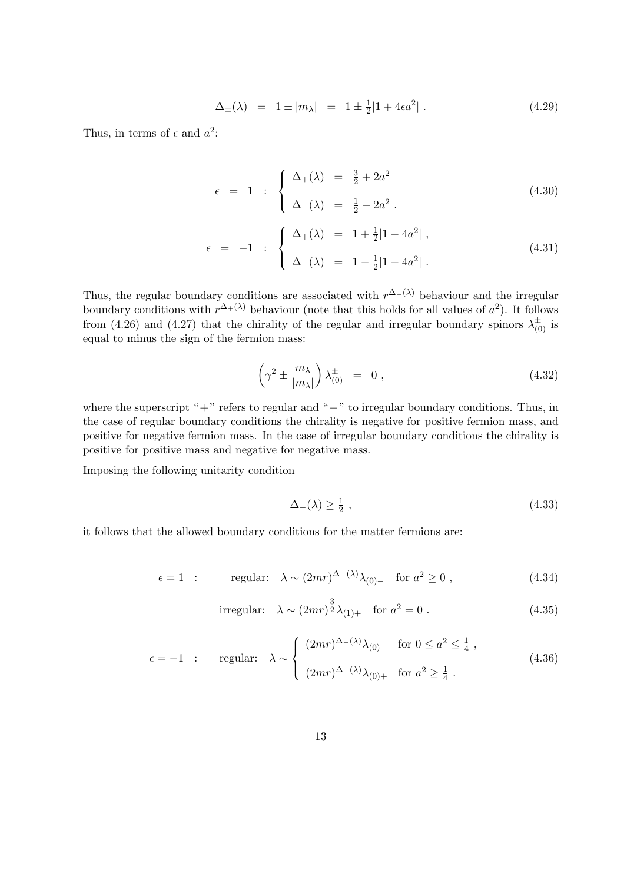$$
\Delta_{\pm}(\lambda) = 1 \pm |m_{\lambda}| = 1 \pm \frac{1}{2}|1 + 4\epsilon a^2|.
$$
 (4.29)

Thus, in terms of  $\epsilon$  and  $a^2$ :

$$
\epsilon = 1 : \begin{cases} \Delta_{+}(\lambda) = \frac{3}{2} + 2a^{2} \\ \Delta_{-}(\lambda) = \frac{1}{2} - 2a^{2} \end{cases}
$$
(4.30)  

$$
\epsilon = -1 : \begin{cases} \Delta_{+}(\lambda) = 1 + \frac{1}{2}|1 - 4a^{2}| \\ \Delta_{-}(\lambda) = 1 - \frac{1}{2}|1 - 4a^{2}| \end{cases}
$$
(4.31)

Thus, the regular boundary conditions are associated with  $r^{\Delta-(\lambda)}$  behaviour and the irregular boundary conditions with  $r^{\Delta_+(\lambda)}$  behaviour (note that this holds for all values of  $a^2$ ). It follows from (4.26) and (4.27) that the chirality of the regular and irregular boundary spinors  $\lambda_{(0)}^{\pm}$  is equal to minus the sign of the fermion mass:

$$
\left(\gamma^2 \pm \frac{m_\lambda}{|m_\lambda|}\right) \lambda_{(0)}^{\pm} = 0 , \qquad (4.32)
$$

where the superscript "+" refers to regular and "-" to irregular boundary conditions. Thus, in the case of regular boundary conditions the chirality is negative for positive fermion mass, and positive for negative fermion mass. In the case of irregular boundary conditions the chirality is positive for positive mass and negative for negative mass.

Imposing the following unitarity condition

$$
\Delta_{-}(\lambda) \ge \frac{1}{2} \tag{4.33}
$$

it follows that the allowed boundary conditions for the matter fermions are:

$$
\epsilon = 1 \quad : \qquad \text{regular:} \quad \lambda \sim (2mr)^{\Delta_{-}(\lambda)}\lambda_{(0)-} \quad \text{for } a^{2} \ge 0 \tag{4.34}
$$

irregular: 
$$
\lambda \sim (2mr)^{\frac{3}{2}}\lambda_{(1)+}
$$
 for  $a^2 = 0$ . (4.35)

$$
\epsilon = -1 \quad : \qquad \text{regular:} \quad \lambda \sim \begin{cases} (2mr)^{\Delta_{-}(\lambda)}\lambda_{(0)-} & \text{for } 0 \le a^2 \le \frac{1}{4} \;, \\ (2mr)^{\Delta_{-}(\lambda)}\lambda_{(0)+} & \text{for } a^2 \ge \frac{1}{4} \;. \end{cases} \tag{4.36}
$$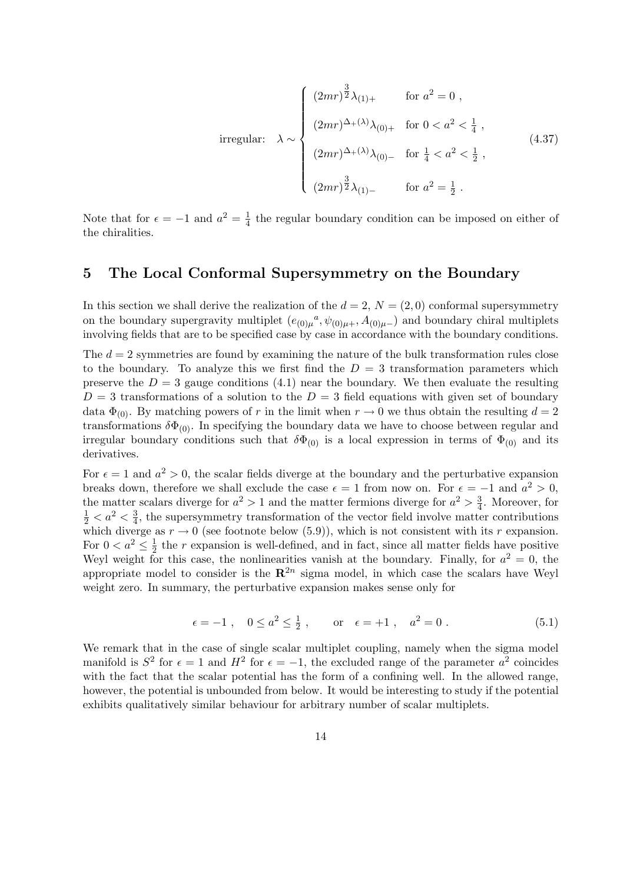$$
\text{irregular:} \quad \lambda \sim \begin{cases} (2mr)^{\frac{3}{2}}\lambda_{(1)+} & \text{for } a^2 = 0 \;, \\ (2mr)^{\Delta_+(\lambda)}\lambda_{(0)+} & \text{for } 0 < a^2 < \frac{1}{4} \;, \\ (2mr)^{\Delta_+(\lambda)}\lambda_{(0)-} & \text{for } \frac{1}{4} < a^2 < \frac{1}{2} \;, \\ (2mr)^{\frac{3}{2}}\lambda_{(1)-} & \text{for } a^2 = \frac{1}{2} \;. \end{cases} \tag{4.37}
$$

Note that for  $\epsilon = -1$  and  $a^2 = \frac{1}{4}$  $\frac{1}{4}$  the regular boundary condition can be imposed on either of the chiralities.

#### **5 The Local Conformal Supersymmetry on the Boundary**

In this section we shall derive the realization of the  $d = 2$ ,  $N = (2, 0)$  conformal supersymmetry on the boundary supergravity multiplet  $(e_{(0)\mu}^a, \psi_{(0)\mu}^a, A_{(0)\mu}^a)$  and boundary chiral multiplets involving fields that are to be specified case by case in accordance with the boundary conditions.

The *d* = 2 symmetries are found by examining the nature of the bulk transformation rules close to the boundary. To analyze this we first find the  $D = 3$  transformation parameters which preserve the  $D = 3$  gauge conditions (4.1) near the boundary. We then evaluate the resulting  $D = 3$  transformations of a solution to the  $D = 3$  field equations with given set of boundary data  $\Phi_{(0)}$ . By matching powers of *r* in the limit when  $r \to 0$  we thus obtain the resulting  $d = 2$ transformations  $\delta\Phi_{(0)}$ . In specifying the boundary data we have to choose between regular and irregular boundary conditions such that  $\delta\Phi_{(0)}$  is a local expression in terms of  $\Phi_{(0)}$  and its derivatives.

For  $\epsilon = 1$  and  $a^2 > 0$ , the scalar fields diverge at the boundary and the perturbative expansion breaks down, therefore we shall exclude the case  $\epsilon = 1$  from now on. For  $\epsilon = -1$  and  $a^2 > 0$ , the matter scalars diverge for  $a^2 > 1$  and the matter fermions diverge for  $a^2 > \frac{3}{4}$  $\frac{3}{4}$ . Moreover, for  $\frac{1}{2} < a^2 < \frac{3}{4}$  $\frac{3}{4}$ , the supersymmetry transformation of the vector field involve matter contributions which diverge as  $r \to 0$  (see footnote below (5.9)), which is not consistent with its *r* expansion. For  $0 < a^2 \leq \frac{1}{2}$  $\frac{1}{2}$  the *r* expansion is well-defined, and in fact, since all matter fields have positive Weyl weight for this case, the nonlinearities vanish at the boundary. Finally, for  $a^2 = 0$ , the appropriate model to consider is the  $\mathbb{R}^{2n}$  sigma model, in which case the scalars have Weyl weight zero. In summary, the perturbative expansion makes sense only for

$$
\epsilon = -1
$$
,  $0 \le a^2 \le \frac{1}{2}$ , or  $\epsilon = +1$ ,  $a^2 = 0$ . (5.1)

We remark that in the case of single scalar multiplet coupling, namely when the sigma model manifold is  $S^2$  for  $\epsilon = 1$  and  $H^2$  for  $\epsilon = -1$ , the excluded range of the parameter  $a^2$  coincides with the fact that the scalar potential has the form of a confining well. In the allowed range, however, the potential is unbounded from below. It would be interesting to study if the potential exhibits qualitatively similar behaviour for arbitrary number of scalar multiplets.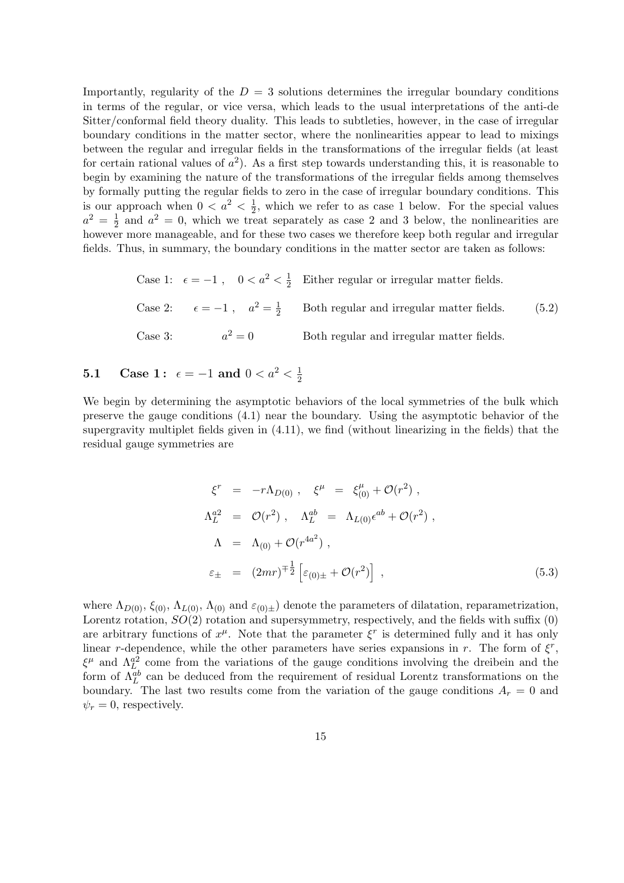Importantly, regularity of the  $D = 3$  solutions determines the irregular boundary conditions in terms of the regular, or vice versa, which leads to the usual interpretations of the anti-de Sitter/conformal field theory duality. This leads to subtleties, however, in the case of irregular boundary conditions in the matter sector, where the nonlinearities appear to lead to mixings between the regular and irregular fields in the transformations of the irregular fields (at least for certain rational values of  $a^2$ ). As a first step towards understanding this, it is reasonable to begin by examining the nature of the transformations of the irregular fields among themselves by formally putting the regular fields to zero in the case of irregular boundary conditions. This is our approach when  $0 < a^2 < \frac{1}{2}$  $\frac{1}{2}$ , which we refer to as case 1 below. For the special values  $a^2 = \frac{1}{2}$  $\frac{1}{2}$  and  $a^2 = 0$ , which we treat separately as case 2 and 3 below, the nonlinearities are however more manageable, and for these two cases we therefore keep both regular and irregular fields. Thus, in summary, the boundary conditions in the matter sector are taken as follows:

> Case 1:  $\epsilon = -1$ ,  $0 < a^2 < \frac{1}{2}$  $\frac{1}{2}$  Either regular or irregular matter fields. Case 2:  $\epsilon = -1$ ,  $a^2 = \frac{1}{2}$ <sup>2</sup> Both regular and irregular matter fields. Case 3:  $a^2 = 0$ Both regular and irregular matter fields. (5.2)

#### **5.1** Case 1:  $\epsilon = -1$  and  $0 < a^2 < \frac{1}{2}$ 2

We begin by determining the asymptotic behaviors of the local symmetries of the bulk which preserve the gauge conditions (4.1) near the boundary. Using the asymptotic behavior of the supergravity multiplet fields given in (4.11), we find (without linearizing in the fields) that the residual gauge symmetries are

$$
\xi^r = -r\Lambda_{D(0)}, \quad \xi^\mu = \xi_{(0)}^\mu + \mathcal{O}(r^2),
$$
  
\n
$$
\Lambda_L^{a2} = \mathcal{O}(r^2), \quad \Lambda_L^{ab} = \Lambda_{L(0)} \epsilon^{ab} + \mathcal{O}(r^2),
$$
  
\n
$$
\Lambda = \Lambda_{(0)} + \mathcal{O}(r^{4a^2}),
$$
  
\n
$$
\epsilon_{\pm} = (2mr)^{\mp \frac{1}{2}} \left[ \epsilon_{(0)\pm} + \mathcal{O}(r^2) \right],
$$
\n(5.3)

where  $\Lambda_{D(0)}, \xi_{(0)}, \Lambda_{L(0)}, \Lambda_{(0)}$  and  $\varepsilon_{(0),\pm}$  denote the parameters of dilatation, reparametrization, Lorentz rotation,  $SO(2)$  rotation and supersymmetry, respectively, and the fields with suffix (0) are arbitrary functions of  $x^{\mu}$ . Note that the parameter  $\xi^{r}$  is determined fully and it has only linear *r*-dependence, while the other parameters have series expansions in *r*. The form of  $\xi^r$ ,  $\xi^{\mu}$  and  $\Lambda_{L}^{a2}$  come from the variations of the gauge conditions involving the dreibein and the form of Λ*ab L* can be deduced from the requirement of residual Lorentz transformations on the boundary. The last two results come from the variation of the gauge conditions  $A_r = 0$  and  $\psi_r = 0$ , respectively.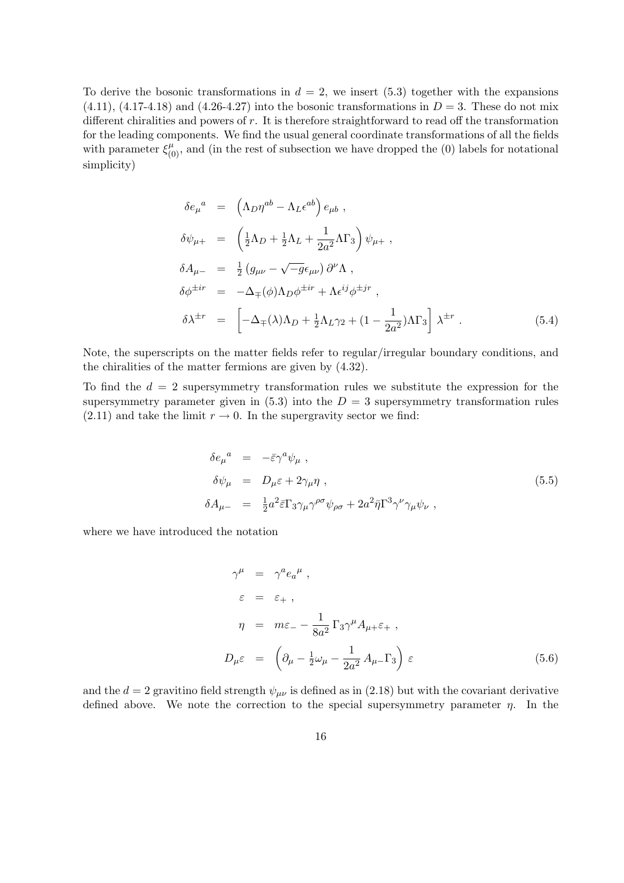To derive the bosonic transformations in  $d = 2$ , we insert (5.3) together with the expansions  $(4.11)$ ,  $(4.17-4.18)$  and  $(4.26-4.27)$  into the bosonic transformations in  $D=3$ . These do not mix different chiralities and powers of *r*. It is therefore straightforward to read off the transformation for the leading components. We find the usual general coordinate transformations of all the fields with parameter  $\xi_{(0)}^{\mu}$ , and (in the rest of subsection we have dropped the (0) labels for notational simplicity)

$$
\delta e_{\mu}^{a} = \left(\Lambda_{D}\eta^{ab} - \Lambda_{L}\epsilon^{ab}\right) e_{\mu b} ,
$$
\n
$$
\delta \psi_{\mu+} = \left(\frac{1}{2}\Lambda_{D} + \frac{1}{2}\Lambda_{L} + \frac{1}{2a^{2}}\Lambda\Gamma_{3}\right) \psi_{\mu+} ,
$$
\n
$$
\delta A_{\mu-} = \frac{1}{2} \left(g_{\mu\nu} - \sqrt{-g}\epsilon_{\mu\nu}\right) \partial^{\nu}\Lambda ,
$$
\n
$$
\delta \phi^{\pm ir} = -\Delta_{\mp}(\phi) \Lambda_{D} \phi^{\pm ir} + \Lambda \epsilon^{ij} \phi^{\pm jr} ,
$$
\n
$$
\delta \lambda^{\pm r} = \left[-\Delta_{\mp}(\lambda) \Lambda_{D} + \frac{1}{2}\Lambda_{L}\gamma_{2} + (1 - \frac{1}{2a^{2}})\Lambda\Gamma_{3}\right] \lambda^{\pm r} .
$$
\n(5.4)

Note, the superscripts on the matter fields refer to regular/irregular boundary conditions, and the chiralities of the matter fermions are given by (4.32).

To find the *d* = 2 supersymmetry transformation rules we substitute the expression for the supersymmetry parameter given in  $(5.3)$  into the  $D = 3$  supersymmetry transformation rules  $(2.11)$  and take the limit  $r \to 0$ . In the supergravity sector we find:

$$
\delta e_{\mu}{}^{a} = -\bar{\varepsilon}\gamma^{a}\psi_{\mu} ,
$$
\n
$$
\delta \psi_{\mu} = D_{\mu}\varepsilon + 2\gamma_{\mu}\eta ,
$$
\n
$$
\delta A_{\mu -} = \frac{1}{2}a^{2}\bar{\varepsilon}\Gamma_{3}\gamma_{\mu}\gamma^{\rho\sigma}\psi_{\rho\sigma} + 2a^{2}\bar{\eta}\Gamma^{3}\gamma^{\nu}\gamma_{\mu}\psi_{\nu} ,
$$
\n(5.5)

where we have introduced the notation

$$
\gamma^{\mu} = \gamma^{a} e_{a}{}^{\mu},
$$
\n
$$
\varepsilon = \varepsilon_{+},
$$
\n
$$
\eta = m\varepsilon_{-} - \frac{1}{8a^{2}} \Gamma_{3} \gamma^{\mu} A_{\mu + \varepsilon_{+}},
$$
\n
$$
D_{\mu} \varepsilon = \left( \partial_{\mu} - \frac{1}{2} \omega_{\mu} - \frac{1}{2a^{2}} A_{\mu -} \Gamma_{3} \right) \varepsilon
$$
\n(5.6)

and the  $d = 2$  gravitino field strength  $\psi_{\mu\nu}$  is defined as in (2.18) but with the covariant derivative defined above. We note the correction to the special supersymmetry parameter  $\eta$ . In the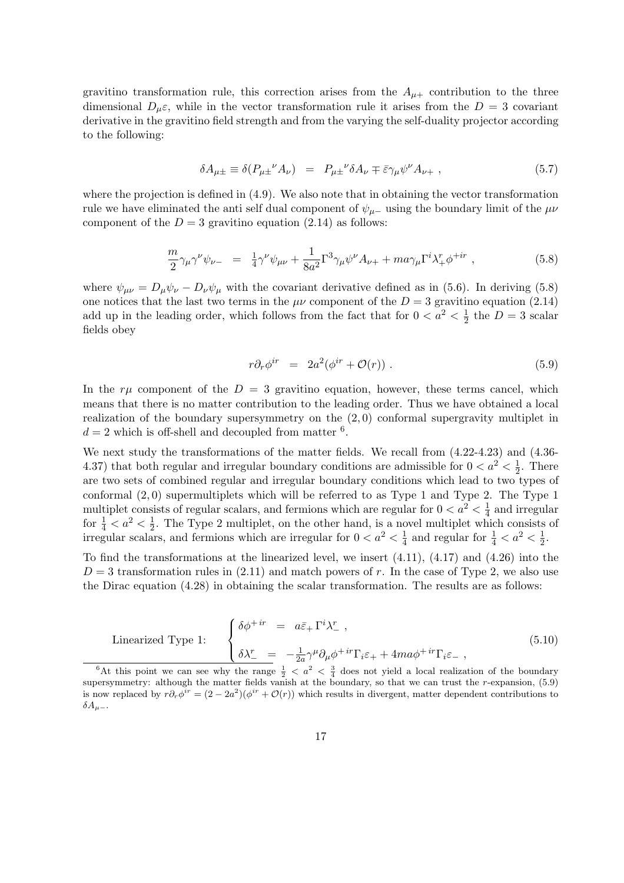gravitino transformation rule, this correction arises from the  $A_{\mu+}$  contribution to the three dimensional  $D_{\mu}\varepsilon$ , while in the vector transformation rule it arises from the  $D=3$  covariant derivative in the gravitino field strength and from the varying the self-duality projector according to the following:

$$
\delta A_{\mu \pm} \equiv \delta (P_{\mu \pm}{}^{\nu} A_{\nu}) = P_{\mu \pm}{}^{\nu} \delta A_{\nu} \mp \bar{\varepsilon} \gamma_{\mu} \psi^{\nu} A_{\nu +} , \qquad (5.7)
$$

where the projection is defined in (4.9). We also note that in obtaining the vector transformation rule we have eliminated the anti self dual component of  $\psi_{\mu}$  using the boundary limit of the  $\mu\nu$ component of the  $D = 3$  gravitino equation (2.14) as follows:

$$
\frac{m}{2}\gamma_{\mu}\gamma^{\nu}\psi_{\nu-} = \frac{1}{4}\gamma^{\nu}\psi_{\mu\nu} + \frac{1}{8a^2}\Gamma^3\gamma_{\mu}\psi^{\nu}A_{\nu+} + ma\gamma_{\mu}\Gamma^i\lambda_{+}^r\phi^{+ir} ,\qquad (5.8)
$$

where  $\psi_{\mu\nu} = D_{\mu}\psi_{\nu} - D_{\nu}\psi_{\mu}$  with the covariant derivative defined as in (5.6). In deriving (5.8) one notices that the last two terms in the  $\mu\nu$  component of the  $D=3$  gravitino equation (2.14) add up in the leading order, which follows from the fact that for  $0 < a<sup>2</sup> < \frac{1}{2}$  $\frac{1}{2}$  the  $D=3$  scalar fields obey

$$
r\partial_r \phi^{ir} = 2a^2(\phi^{ir} + \mathcal{O}(r)). \qquad (5.9)
$$

In the  $r\mu$  component of the  $D = 3$  gravitino equation, however, these terms cancel, which means that there is no matter contribution to the leading order. Thus we have obtained a local realization of the boundary supersymmetry on the (2*,* 0) conformal supergravity multiplet in  $d = 2$  which is off-shell and decoupled from matter <sup>6</sup>.

We next study the transformations of the matter fields. We recall from (4.22-4.23) and (4.36- 4.37) that both regular and irregular boundary conditions are admissible for  $0 < a^2 < \frac{1}{2}$  $\frac{1}{2}$ . There are two sets of combined regular and irregular boundary conditions which lead to two types of conformal (2*,* 0) supermultiplets which will be referred to as Type 1 and Type 2. The Type 1 multiplet consists of regular scalars, and fermions which are regular for  $0 < a^2 < \frac{1}{4}$  $\frac{1}{4}$  and irregular for  $\frac{1}{4} < a^2 < \frac{1}{2}$  $\frac{1}{2}$ . The Type 2 multiplet, on the other hand, is a novel multiplet which consists of irregular scalars, and fermions which are irregular for  $0 < a^2 < \frac{1}{4}$  $\frac{1}{4}$  and regular for  $\frac{1}{4} < a^2 < \frac{1}{2}$  $\frac{1}{2}$ .

To find the transformations at the linearized level, we insert (4.11), (4.17) and (4.26) into the  $D = 3$  transformation rules in (2.11) and match powers of *r*. In the case of Type 2, we also use the Dirac equation (4.28) in obtaining the scalar transformation. The results are as follows:

Linearized Type 1: 
$$
\begin{cases} \delta \phi^{+ir} = a \bar{\varepsilon}_{+} \Gamma^{i} \lambda_{-}^{r} , \\ \delta \lambda_{-}^{r} = -\frac{1}{2a} \gamma^{\mu} \partial_{\mu} \phi^{+ir} \Gamma_{i} \varepsilon_{+} + 4ma \phi^{+ir} \Gamma_{i} \varepsilon_{-} , \end{cases}
$$
(5.10)

<sup>&</sup>lt;sup>6</sup>At this point we can see why the range  $\frac{1}{2} < a^2 < \frac{3}{4}$  does not yield a local realization of the boundary supersymmetry: although the matter fields vanish at the boundary, so that we can trust the *r*-expansion, (5.9) is now replaced by  $r\partial_r\phi^{ir} = (2 - 2a^2)(\phi^{ir} + \mathcal{O}(r))$  which results in divergent, matter dependent contributions to *δA<sup>µ</sup>−*.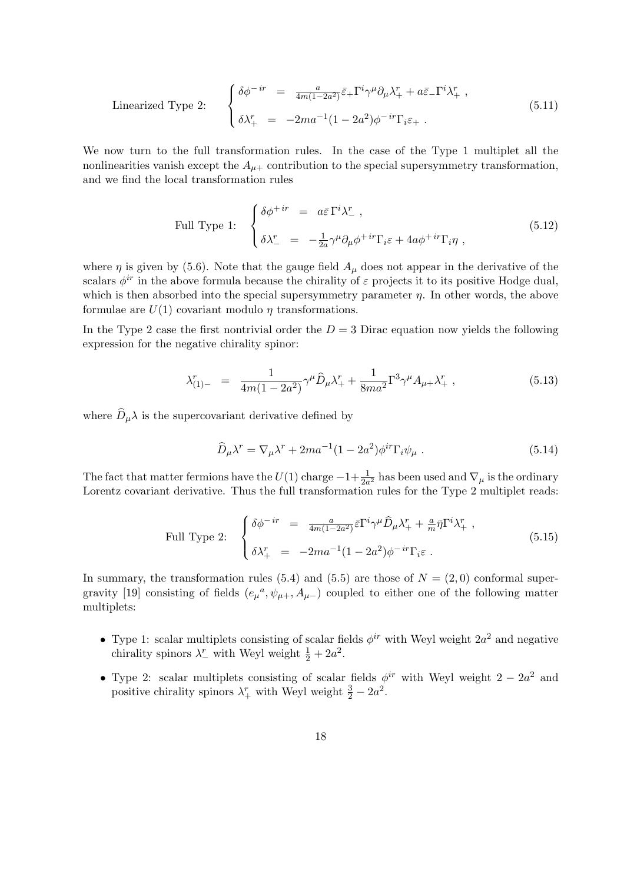Linearized Type 2: 
$$
\begin{cases} \delta \phi^{-ir} = \frac{a}{4m(1-2a^2)} \bar{\varepsilon}_+ \Gamma^i \gamma^\mu \partial_\mu \lambda_+^r + a \bar{\varepsilon}_- \Gamma^i \lambda_+^r ,\\ \delta \lambda_+^r = -2ma^{-1}(1-2a^2) \phi^{-ir} \Gamma_i \varepsilon_+ . \end{cases}
$$
(5.11)

We now turn to the full transformation rules. In the case of the Type 1 multiplet all the nonlinearities vanish except the  $A_{\mu+}$  contribution to the special supersymmetry transformation, and we find the local transformation rules

Full Type 1: 
$$
\begin{cases} \delta \phi^{+ir} = a \bar{\varepsilon} \Gamma^i \lambda_-^r , \\ \delta \lambda_-^r = -\frac{1}{2a} \gamma^\mu \partial_\mu \phi^{+ir} \Gamma_i \varepsilon + 4a \phi^{+ir} \Gamma_i \eta , \end{cases}
$$
 (5.12)

where  $\eta$  is given by (5.6). Note that the gauge field  $A_\mu$  does not appear in the derivative of the scalars  $\phi^{ir}$  in the above formula because the chirality of  $\varepsilon$  projects it to its positive Hodge dual, which is then absorbed into the special supersymmetry parameter  $\eta$ . In other words, the above formulae are  $U(1)$  covariant modulo  $\eta$  transformations.

In the Type 2 case the first nontrivial order the  $D = 3$  Dirac equation now yields the following expression for the negative chirality spinor:

$$
\lambda_{(1)-}^r = \frac{1}{4m(1-2a^2)} \gamma^\mu \hat{D}_\mu \lambda_+^r + \frac{1}{8ma^2} \Gamma^3 \gamma^\mu A_{\mu+} \lambda_+^r , \qquad (5.13)
$$

where  $D_{\mu} \lambda$  is the supercovariant derivative defined by

$$
\widehat{D}_{\mu}\lambda^{r} = \nabla_{\mu}\lambda^{r} + 2ma^{-1}(1 - 2a^{2})\phi^{ir}\Gamma_{i}\psi_{\mu} . \qquad (5.14)
$$

The fact that matter fermions have the  $U(1)$  charge  $-1+\frac{1}{2a^2}$  has been used and  $\nabla_\mu$  is the ordinary Lorentz covariant derivative. Thus the full transformation rules for the Type 2 multiplet reads:

Full Type 2: 
$$
\begin{cases} \delta \phi^{-ir} = \frac{a}{4m(1-2a^2)} \bar{\varepsilon} \Gamma^i \gamma^\mu \hat{D}_\mu \lambda_+^r + \frac{a}{m} \bar{\eta} \Gamma^i \lambda_+^r ,\\ \delta \lambda_+^r = -2ma^{-1} (1-2a^2) \phi^{-ir} \Gamma_i \varepsilon . \end{cases}
$$
(5.15)

In summary, the transformation rules  $(5.4)$  and  $(5.5)$  are those of  $N = (2, 0)$  conformal supergravity [19] consisting of fields  $(e_{\mu}{}^{a}, \psi_{\mu+}, A_{\mu-})$  coupled to either one of the following matter multiplets:

- Type 1: scalar multiplets consisting of scalar fields  $\phi^{ir}$  with Weyl weight  $2a^2$  and negative chirality spinors  $\lambda_{-}^{r}$  with Weyl weight  $\frac{1}{2} + 2a^2$ .
- Type 2: scalar multiplets consisting of scalar fields  $\phi^{ir}$  with Weyl weight 2 *−* 2*a*<sup>2</sup> and positive chirality spinors  $\lambda^r_+$  with Weyl weight  $\frac{3}{2} - 2a^2$ .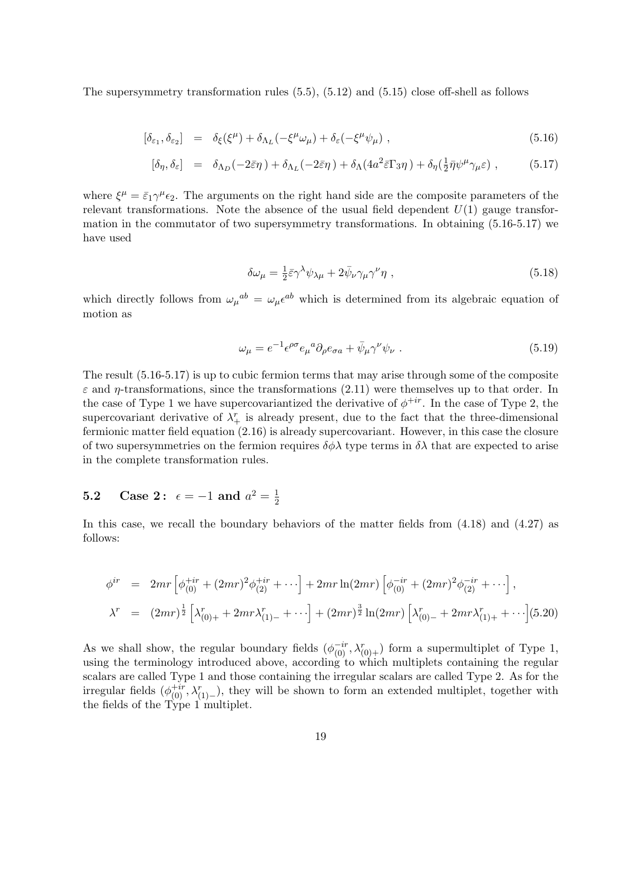The supersymmetry transformation rules (5.5), (5.12) and (5.15) close off-shell as follows

$$
[\delta_{\varepsilon_1}, \delta_{\varepsilon_2}] = \delta_{\xi}(\xi^{\mu}) + \delta_{\Lambda_L}(-\xi^{\mu}\omega_{\mu}) + \delta_{\varepsilon}(-\xi^{\mu}\psi_{\mu}), \qquad (5.16)
$$

$$
[\delta_{\eta}, \delta_{\varepsilon}] = \delta_{\Lambda_D}(-2\bar{\varepsilon}\eta) + \delta_{\Lambda_L}(-2\bar{\varepsilon}\eta) + \delta_{\Lambda}(4a^2\bar{\varepsilon}\Gamma_3\eta) + \delta_{\eta}(\frac{1}{2}\bar{\eta}\psi^{\mu}\gamma_{\mu}\varepsilon) , \qquad (5.17)
$$

where  $\xi^{\mu} = \bar{\varepsilon}_1 \gamma^{\mu} \epsilon_2$ . The arguments on the right hand side are the composite parameters of the relevant transformations. Note the absence of the usual field dependent  $U(1)$  gauge transformation in the commutator of two supersymmetry transformations. In obtaining (5.16-5.17) we have used

$$
\delta\omega_{\mu} = \frac{1}{2}\bar{\varepsilon}\gamma^{\lambda}\psi_{\lambda\mu} + 2\bar{\psi}_{\nu}\gamma_{\mu}\gamma^{\nu}\eta , \qquad (5.18)
$$

which directly follows from  $\omega_{\mu}{}^{ab} = \omega_{\mu} \epsilon^{ab}$  which is determined from its algebraic equation of motion as

$$
\omega_{\mu} = e^{-1} \epsilon^{\rho \sigma} e_{\mu}{}^{a} \partial_{\rho} e_{\sigma a} + \bar{\psi}_{\mu} \gamma^{\nu} \psi_{\nu} . \tag{5.19}
$$

The result (5.16-5.17) is up to cubic fermion terms that may arise through some of the composite *ε* and *η*-transformations, since the transformations (2.11) were themselves up to that order. In the case of Type 1 we have supercovariantized the derivative of  $\phi^{+ir}$ . In the case of Type 2, the supercovariant derivative of  $\lambda^r_+$  is already present, due to the fact that the three-dimensional fermionic matter field equation (2.16) is already supercovariant. However, in this case the closure of two supersymmetries on the fermion requires  $\delta \phi \lambda$  type terms in  $\delta \lambda$  that are expected to arise in the complete transformation rules.

#### **5.2** Case 2:  $\epsilon = -1$  and  $a^2 = \frac{1}{2}$ 2

In this case, we recall the boundary behaviors of the matter fields from  $(4.18)$  and  $(4.27)$  as follows:

$$
\begin{split}\n\phi^{ir} &= 2mr \left[ \phi_{(0)}^{+ir} + (2mr)^2 \phi_{(2)}^{+ir} + \cdots \right] + 2mr \ln(2mr) \left[ \phi_{(0)}^{-ir} + (2mr)^2 \phi_{(2)}^{-ir} + \cdots \right], \\
\lambda^r &= (2mr)^{\frac{1}{2}} \left[ \lambda^r_{(0)+} + 2mr \lambda^r_{(1)-} + \cdots \right] + (2mr)^{\frac{3}{2}} \ln(2mr) \left[ \lambda^r_{(0)-} + 2mr \lambda^r_{(1)+} + \cdots \right] (5.20)\n\end{split}
$$

As we shall show, the regular boundary fields  $(\phi_{(0)}^{-ir}, \lambda_{(0)+}^r)$  form a supermultiplet of Type 1, using the terminology introduced above, according to which multiplets containing the regular scalars are called Type 1 and those containing the irregular scalars are called Type 2. As for the irregular fields  $(\phi_{(0)}^{+ir}, \lambda_{(1)}^r)$ , they will be shown to form an extended multiplet, together with the fields of the Type 1 multiplet.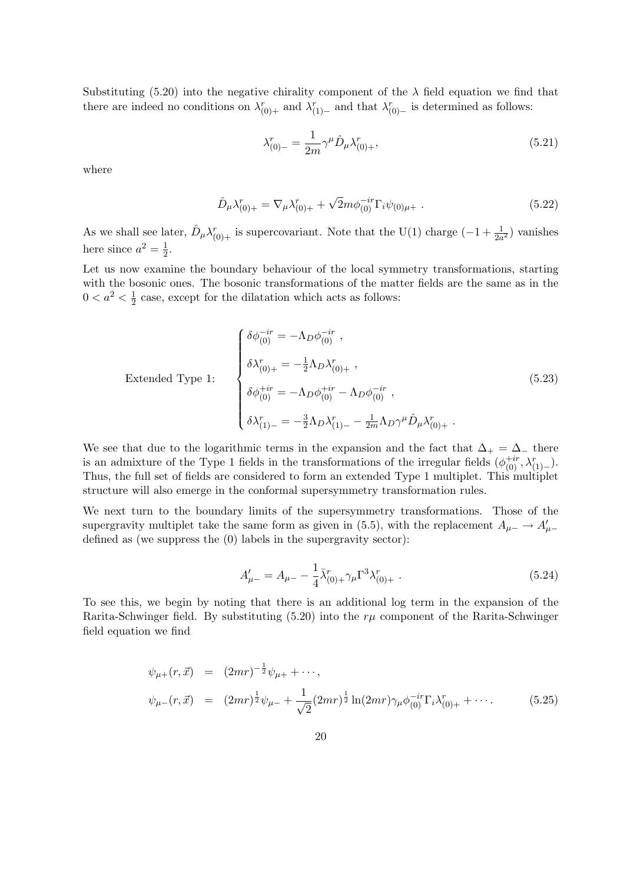Substituting (5.20) into the negative chirality component of the  $\lambda$  field equation we find that there are indeed no conditions on  $\lambda_{(0)+}^r$  and  $\lambda_{(1)-}^r$  and that  $\lambda_{(0)-}^r$  is determined as follows:

$$
\lambda_{(0)-}^r = \frac{1}{2m} \gamma^\mu \hat{D}_\mu \lambda_{(0)+}^r,\tag{5.21}
$$

where

$$
\hat{D}_{\mu} \lambda_{(0)+}^{r} = \nabla_{\mu} \lambda_{(0)+}^{r} + \sqrt{2} m \phi_{(0)}^{-ir} \Gamma_{i} \psi_{(0)\mu +} . \tag{5.22}
$$

As we shall see later,  $\hat{D}_{\mu} \lambda_{(0)+}^{r}$  is supercovariant. Note that the U(1) charge  $(-1+\frac{1}{2a^2})$  vanishes here since  $a^2 = \frac{1}{2}$  $\frac{1}{2}$ .

Let us now examine the boundary behaviour of the local symmetry transformations, starting with the bosonic ones. The bosonic transformations of the matter fields are the same as in the  $0 < a^2 < \frac{1}{2}$  $\frac{1}{2}$  case, except for the dilatation which acts as follows:

$$
\begin{aligned}\n\text{Extended Type 1:} \\
\begin{cases}\n\delta \phi_{(0)}^{-ir} &= -\Lambda_D \phi_{(0)}^{-ir} , \\
\delta \lambda_{(0)+}^r &= -\frac{1}{2} \Lambda_D \lambda_{(0)+}^r , \\
\delta \phi_{(0)}^{+ir} &= -\Lambda_D \phi_{(0)}^{+ir} - \Lambda_D \phi_{(0)}^{-ir} , \\
\delta \lambda_{(1)-}^r &= -\frac{3}{2} \Lambda_D \lambda_{(1)-}^r - \frac{1}{2m} \Lambda_D \gamma^\mu \hat{D}_\mu \lambda_{(0)+}^r .\n\end{cases} \n\end{aligned} \tag{5.23}
$$

We see that due to the logarithmic terms in the expansion and the fact that  $\Delta_+ = \Delta_-$  there is an admixture of the Type 1 fields in the transformations of the irregular fields  $(\phi_{(0)}^{+ir}, \lambda_{(1)}^r)$ . Thus, the full set of fields are considered to form an extended Type 1 multiplet. This multiplet structure will also emerge in the conformal supersymmetry transformation rules.

We next turn to the boundary limits of the supersymmetry transformations. Those of the supergravity multiplet take the same form as given in (5.5), with the replacement  $A_{\mu-} \to A'_{\mu-}$ defined as (we suppress the (0) labels in the supergravity sector):

$$
A'_{\mu-} = A_{\mu-} - \frac{1}{4} \bar{\lambda}^r_{(0)+} \gamma_\mu \Gamma^3 \lambda^r_{(0)+} \tag{5.24}
$$

To see this, we begin by noting that there is an additional log term in the expansion of the Rarita-Schwinger field. By substituting  $(5.20)$  into the  $r\mu$  component of the Rarita-Schwinger field equation we find

$$
\psi_{\mu+}(r,\vec{x}) = (2mr)^{-\frac{1}{2}}\psi_{\mu+} + \cdots,
$$
  

$$
\psi_{\mu-}(r,\vec{x}) = (2mr)^{\frac{1}{2}}\psi_{\mu-} + \frac{1}{\sqrt{2}}(2mr)^{\frac{1}{2}}\ln(2mr)\gamma_{\mu}\phi_{(0)}^{-ir}\Gamma_{i}\lambda_{(0)+}^{r} + \cdots.
$$
 (5.25)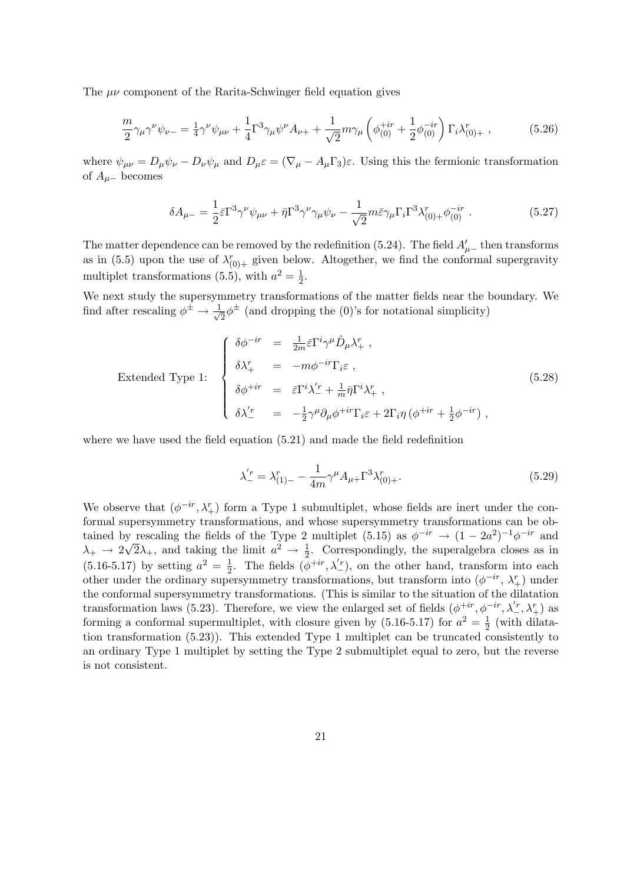The *µν* component of the Rarita-Schwinger field equation gives

$$
\frac{m}{2}\gamma_{\mu}\gamma^{\nu}\psi_{\nu-} = \frac{1}{4}\gamma^{\nu}\psi_{\mu\nu} + \frac{1}{4}\Gamma^{3}\gamma_{\mu}\psi^{\nu}A_{\nu+} + \frac{1}{\sqrt{2}}m\gamma_{\mu}\left(\phi_{(0)}^{+ir} + \frac{1}{2}\phi_{(0)}^{-ir}\right)\Gamma_{i}\lambda_{(0)+}^{r},\tag{5.26}
$$

where  $\psi_{\mu\nu} = D_{\mu}\psi_{\nu} - D_{\nu}\psi_{\mu}$  and  $D_{\mu}\varepsilon = (\nabla_{\mu} - A_{\mu}\Gamma_3)\varepsilon$ . Using this the fermionic transformation of  $A_{\mu-}$  becomes

$$
\delta A_{\mu-} = \frac{1}{2} \bar{\varepsilon} \Gamma^3 \gamma^\nu \psi_{\mu\nu} + \bar{\eta} \Gamma^3 \gamma^\nu \gamma_\mu \psi_\nu - \frac{1}{\sqrt{2}} m \bar{\varepsilon} \gamma_\mu \Gamma_i \Gamma^3 \lambda^r_{(0) +} \phi^{-ir}_{(0)} \ . \tag{5.27}
$$

The matter dependence can be removed by the redefinition (5.24). The field  $A'_{\mu-}$  then transforms as in (5.5) upon the use of  $\lambda_{(0)+}^r$  given below. Altogether, we find the conformal supergravity multiplet transformations (5.5), with  $a^2 = \frac{1}{2}$  $\frac{1}{2}$ .

We next study the supersymmetry transformations of the matter fields near the boundary. We find after rescaling  $\phi^{\pm} \rightarrow \frac{1}{\sqrt{2}}$  $\frac{1}{2}\phi^{\pm}$  (and dropping the (0)'s for notational simplicity)

$$
\text{Extended Type 1:} \quad \begin{cases} \delta \phi^{-ir} &= \frac{1}{2m} \bar{\varepsilon} \Gamma^i \gamma^\mu \hat{D}_\mu \lambda_+^r \;, \\ \delta \lambda_+^r &= -m \phi^{-ir} \Gamma_i \varepsilon \;, \\ \delta \phi^{+ir} &= \bar{\varepsilon} \Gamma^i \lambda_-^{'r} + \frac{1}{m} \bar{\eta} \Gamma^i \lambda_+^r \;, \\ \delta \lambda_-^{'r} &= -\frac{1}{2} \gamma^\mu \partial_\mu \phi^{+ir} \Gamma_i \varepsilon + 2 \Gamma_i \eta \left( \phi^{+ir} + \frac{1}{2} \phi^{-ir} \right) \;, \end{cases} \tag{5.28}
$$

where we have used the field equation (5.21) and made the field redefinition

$$
\lambda_{-}^{'r} = \lambda_{(1)-}^{r} - \frac{1}{4m} \gamma^{\mu} A_{\mu+} \Gamma^3 \lambda_{(0)+}^{r}.
$$
\n(5.29)

We observe that  $(\phi^{-ir}, \lambda^r_+)$  form a Type 1 submultiplet, whose fields are inert under the conformal supersymmetry transformations, and whose supersymmetry transformations can be obtained by rescaling the fields of the Type 2 multiplet (5.15) as  $\phi^{-ir} \to (1 - 2a^2)^{-1} \phi^{-ir}$  and  $\lambda_+ \to 2\sqrt{2\lambda_+}$ , and taking the limit  $a^2 \to \frac{1}{2}$ . Correspondingly, the superalgebra closes as in  $(5.16-5.17)$  by setting  $a^2 = \frac{1}{2}$  $\frac{1}{2}$ . The fields  $(\phi^{+ir}, \lambda'_{-})$ , on the other hand, transform into each other under the ordinary supersymmetry transformations, but transform into  $(\phi^{-ir}, \lambda^r_+)$  under the conformal supersymmetry transformations. (This is similar to the situation of the dilatation transformation laws (5.23). Therefore, we view the enlarged set of fields  $(\phi^{+ir}, \phi^{-ir}, \lambda'_{-}, \lambda''_{+})$  as forming a conformal supermultiplet, with closure given by  $(5.16-5.17)$  for  $a^2 = \frac{1}{2}$  $\frac{1}{2}$  (with dilatation transformation (5.23)). This extended Type 1 multiplet can be truncated consistently to an ordinary Type 1 multiplet by setting the Type 2 submultiplet equal to zero, but the reverse is not consistent.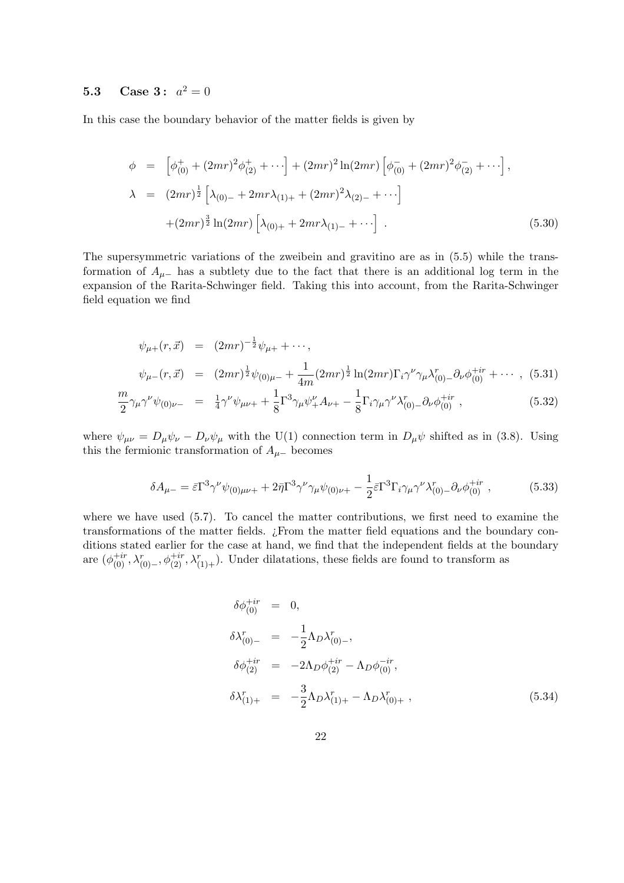### **5.3** Case 3:  $a^2 = 0$

In this case the boundary behavior of the matter fields is given by

$$
\phi = \left[ \phi_{(0)}^+ + (2mr)^2 \phi_{(2)}^+ + \cdots \right] + (2mr)^2 \ln(2mr) \left[ \phi_{(0)}^- + (2mr)^2 \phi_{(2)}^- + \cdots \right],
$$
  
\n
$$
\lambda = (2mr)^{\frac{1}{2}} \left[ \lambda_{(0)-} + 2mr \lambda_{(1)+} + (2mr)^2 \lambda_{(2)-} + \cdots \right]
$$
  
\n
$$
+ (2mr)^{\frac{3}{2}} \ln(2mr) \left[ \lambda_{(0)+} + 2mr \lambda_{(1)-} + \cdots \right].
$$
\n(5.30)

The supersymmetric variations of the zweibein and gravitino are as in (5.5) while the transformation of  $A_{\mu-}$  has a subtlety due to the fact that there is an additional log term in the expansion of the Rarita-Schwinger field. Taking this into account, from the Rarita-Schwinger field equation we find

$$
\psi_{\mu+}(r,\vec{x}) = (2mr)^{-\frac{1}{2}}\psi_{\mu+} + \cdots,
$$
  

$$
\psi_{\mu-}(r,\vec{x}) = (2mr)^{\frac{1}{2}}\psi_{(0)\mu-} + \frac{1}{4m}(2mr)^{\frac{1}{2}}\ln(2mr)\Gamma_i\gamma^{\nu}\gamma_{\mu}\lambda^{r}_{(0)} - \partial_{\nu}\phi^{+ir}_{(0)} + \cdots, (5.31)
$$

$$
\frac{m}{2}\gamma_{\mu}\gamma^{\nu}\psi_{(0)\nu-} = \frac{1}{4}\gamma^{\nu}\psi_{\mu\nu+} + \frac{1}{8}\Gamma^3\gamma_{\mu}\psi_{+}^{\nu}A_{\nu+} - \frac{1}{8}\Gamma_i\gamma_{\mu}\gamma^{\nu}\lambda_{(0)}^{r} - \partial_{\nu}\phi_{(0)}^{+ir} ,\qquad (5.32)
$$

where  $\psi_{\mu\nu} = D_{\mu}\psi_{\nu} - D_{\nu}\psi_{\mu}$  with the U(1) connection term in  $D_{\mu}\psi$  shifted as in (3.8). Using this the fermionic transformation of  $A_{\mu}$ <sup>−</sup> becomes

$$
\delta A_{\mu-} = \bar{\varepsilon} \Gamma^3 \gamma^{\nu} \psi_{(0)\mu\nu+} + 2\bar{\eta} \Gamma^3 \gamma^{\nu} \gamma_{\mu} \psi_{(0)\nu+} - \frac{1}{2} \bar{\varepsilon} \Gamma^3 \Gamma_i \gamma_{\mu} \gamma^{\nu} \lambda_{(0)-}^r \partial_{\nu} \phi_{(0)}^{+ir} , \qquad (5.33)
$$

where we have used (5.7). To cancel the matter contributions, we first need to examine the transformations of the matter fields. ¿From the matter field equations and the boundary conditions stated earlier for the case at hand, we find that the independent fields at the boundary are  $(\phi_{(0)}^{+ir}, \lambda_{(0)-}^r, \phi_{(2)}^{+ir}, \lambda_{(1)+}^r)$ . Under dilatations, these fields are found to transform as

$$
\delta \phi_{(0)}^{+ir} = 0,
$$
  
\n
$$
\delta \lambda_{(0)-}^r = -\frac{1}{2} \Lambda_D \lambda_{(0)-}^r,
$$
  
\n
$$
\delta \phi_{(2)}^{+ir} = -2 \Lambda_D \phi_{(2)}^{+ir} - \Lambda_D \phi_{(0)}^{-ir},
$$
  
\n
$$
\delta \lambda_{(1)+}^r = -\frac{3}{2} \Lambda_D \lambda_{(1)+}^r - \Lambda_D \lambda_{(0)+}^r,
$$
\n(5.34)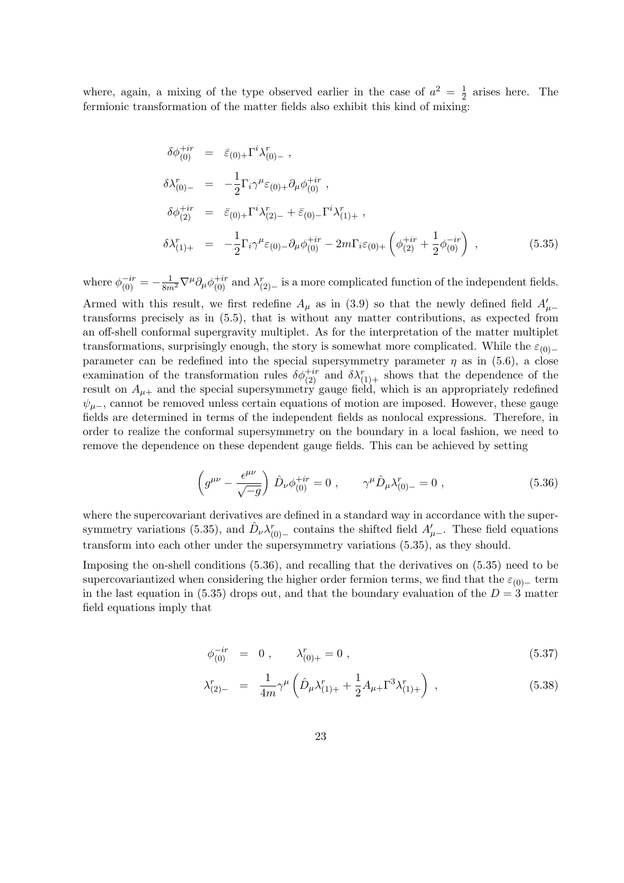where, again, a mixing of the type observed earlier in the case of  $a^2 = \frac{1}{2}$  $\frac{1}{2}$  arises here. The fermionic transformation of the matter fields also exhibit this kind of mixing:

$$
\delta \phi_{(0)}^{+ir} = \bar{\varepsilon}_{(0)+} \Gamma^{i} \lambda_{(0)-}^{r},
$$
\n
$$
\delta \lambda_{(0)-}^{r} = -\frac{1}{2} \Gamma_{i} \gamma^{\mu} \varepsilon_{(0)+} \partial_{\mu} \phi_{(0)}^{+ir},
$$
\n
$$
\delta \phi_{(2)}^{+ir} = \bar{\varepsilon}_{(0)+} \Gamma^{i} \lambda_{(2)-}^{r} + \bar{\varepsilon}_{(0)-} \Gamma^{i} \lambda_{(1)+}^{r},
$$
\n
$$
\delta \lambda_{(1)+}^{r} = -\frac{1}{2} \Gamma_{i} \gamma^{\mu} \varepsilon_{(0)-} \partial_{\mu} \phi_{(0)}^{+ir} - 2m \Gamma_{i} \varepsilon_{(0)+} \left( \phi_{(2)}^{+ir} + \frac{1}{2} \phi_{(0)}^{-ir} \right),
$$
\n(5.35)

where  $\phi_{(0)}^{-ir} = -\frac{1}{8m^2} \nabla^{\mu} \partial_{\mu} \phi_{(0)}^{+ir}$  and  $\lambda_{(2)-}^{r}$  is a more complicated function of the independent fields.

Armed with this result, we first redefine  $A_\mu$  as in (3.9) so that the newly defined field  $A'_{\mu-}$ transforms precisely as in (5.5), that is without any matter contributions, as expected from an off-shell conformal supergravity multiplet. As for the interpretation of the matter multiplet transformations, surprisingly enough, the story is somewhat more complicated. While the  $\varepsilon_{(0)}$ − parameter can be redefined into the special supersymmetry parameter  $\eta$  as in (5.6), a close examination of the transformation rules  $\delta \phi_{(2)}^{+ir}$  and  $\delta \lambda_{(1)+}^r$  shows that the dependence of the result on  $A_{\mu+}$  and the special supersymmetry gauge field, which is an appropriately redefined  $ψ$ <sup>*μ*</sup><sup>−</sup>, cannot be removed unless certain equations of motion are imposed. However, these gauge fields are determined in terms of the independent fields as nonlocal expressions. Therefore, in order to realize the conformal supersymmetry on the boundary in a local fashion, we need to remove the dependence on these dependent gauge fields. This can be achieved by setting

$$
\left(g^{\mu\nu} - \frac{\epsilon^{\mu\nu}}{\sqrt{-g}}\right) \hat{D}_{\nu}\phi_{(0)}^{+ir} = 0 , \qquad \gamma^{\mu}\hat{D}_{\mu}\lambda_{(0)-}^{r} = 0 , \qquad (5.36)
$$

where the supercovariant derivatives are defined in a standard way in accordance with the supersymmetry variations (5.35), and  $\hat{D}_{\nu} \lambda_{(0)-}^r$  contains the shifted field  $A'_{\mu-}$ . These field equations transform into each other under the supersymmetry variations (5.35), as they should.

Imposing the on-shell conditions (5.36), and recalling that the derivatives on (5.35) need to be supercovariantized when considering the higher order fermion terms, we find that the  $\varepsilon_{(0)-}$  term in the last equation in (5.35) drops out, and that the boundary evaluation of the  $D=3$  matter field equations imply that

$$
\phi_{(0)}^{-ir} = 0 , \qquad \lambda_{(0)+}^r = 0 , \qquad (5.37)
$$

$$
\lambda_{(2)-}^r = \frac{1}{4m} \gamma^\mu \left( \hat{D}_\mu \lambda_{(1)+}^r + \frac{1}{2} A_{\mu+} \Gamma^3 \lambda_{(1)+}^r \right) , \qquad (5.38)
$$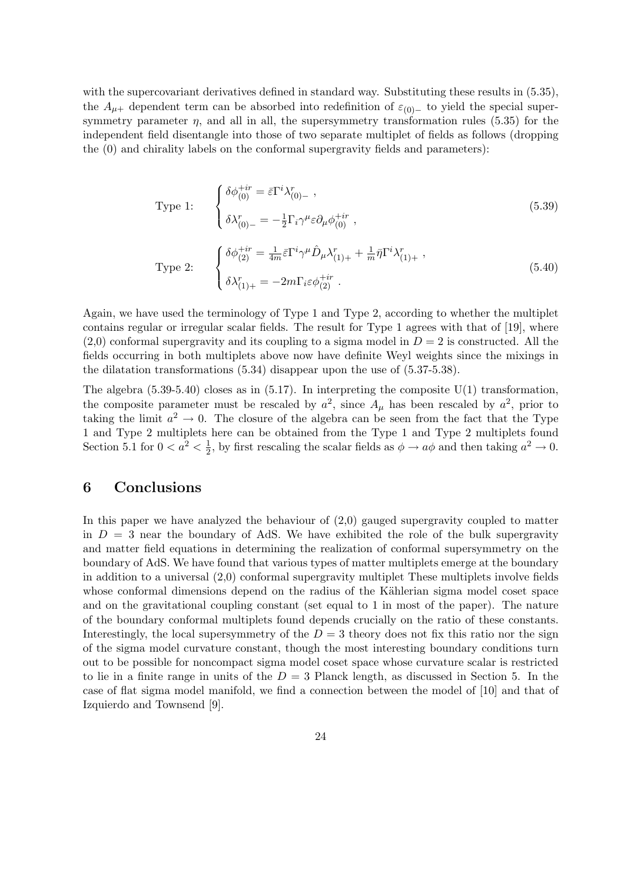with the supercovariant derivatives defined in standard way. Substituting these results in (5.35), the  $A_{\mu+}$  dependent term can be absorbed into redefinition of  $\varepsilon_{(0)-}$  to yield the special supersymmetry parameter  $\eta$ , and all in all, the supersymmetry transformation rules (5.35) for the independent field disentangle into those of two separate multiplet of fields as follows (dropping the (0) and chirality labels on the conformal supergravity fields and parameters):

Type 1: 
$$
\begin{cases} \delta\phi_{(0)}^{+ir} = \bar{\varepsilon}\Gamma^i\lambda_{(0)-}^r, \\ \delta\lambda_{(0)-}^r = -\frac{1}{2}\Gamma_i\gamma^\mu\varepsilon\partial_\mu\phi_{(0)}^{+ir}, \\ \delta\phi_{(2)}^{+ir} = \frac{1}{4m}\bar{\varepsilon}\Gamma^i\gamma^\mu\hat{D}_\mu\lambda_{(1)+}^r + \frac{1}{m}\bar{\eta}\Gamma^i\lambda_{(1)+}^r, \\ \delta\lambda_{(1)+}^r = -2m\Gamma_i\varepsilon\phi_{(2)}^{+ir}. \end{cases}
$$
(5.40)

Again, we have used the terminology of Type 1 and Type 2, according to whether the multiplet contains regular or irregular scalar fields. The result for Type 1 agrees with that of [19], where  $(2,0)$  conformal supergravity and its coupling to a sigma model in  $D=2$  is constructed. All the fields occurring in both multiplets above now have definite Weyl weights since the mixings in the dilatation transformations (5.34) disappear upon the use of (5.37-5.38).

The algebra  $(5.39-5.40)$  closes as in  $(5.17)$ . In interpreting the composite U(1) transformation, the composite parameter must be rescaled by  $a^2$ , since  $A_\mu$  has been rescaled by  $a^2$ , prior to taking the limit  $a^2 \to 0$ . The closure of the algebra can be seen from the fact that the Type 1 and Type 2 multiplets here can be obtained from the Type 1 and Type 2 multiplets found Section 5.1 for  $0 < a^2 < \frac{1}{2}$  $\frac{1}{2}$ , by first rescaling the scalar fields as  $\phi \to a\phi$  and then taking  $a^2 \to 0$ .

## **6 Conclusions**

In this paper we have analyzed the behaviour of (2,0) gauged supergravity coupled to matter in  $D = 3$  near the boundary of AdS. We have exhibited the role of the bulk supergravity and matter field equations in determining the realization of conformal supersymmetry on the boundary of AdS. We have found that various types of matter multiplets emerge at the boundary in addition to a universal (2,0) conformal supergravity multiplet These multiplets involve fields whose conformal dimensions depend on the radius of the Kählerian sigma model coset space and on the gravitational coupling constant (set equal to 1 in most of the paper). The nature of the boundary conformal multiplets found depends crucially on the ratio of these constants. Interestingly, the local supersymmetry of the  $D=3$  theory does not fix this ratio nor the sign of the sigma model curvature constant, though the most interesting boundary conditions turn out to be possible for noncompact sigma model coset space whose curvature scalar is restricted to lie in a finite range in units of the *D* = 3 Planck length, as discussed in Section 5. In the case of flat sigma model manifold, we find a connection between the model of [10] and that of Izquierdo and Townsend [9].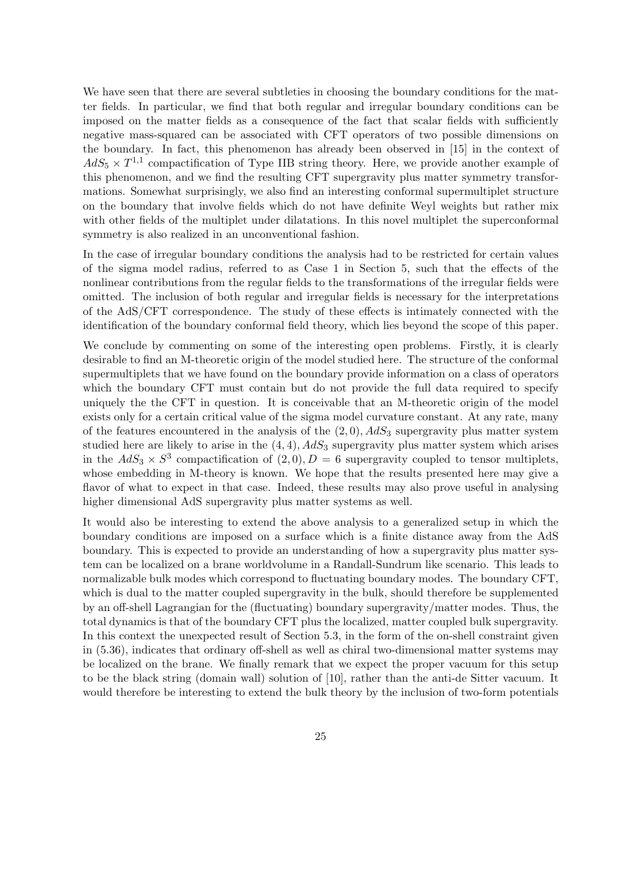We have seen that there are several subtleties in choosing the boundary conditions for the matter fields. In particular, we find that both regular and irregular boundary conditions can be imposed on the matter fields as a consequence of the fact that scalar fields with sufficiently negative mass-squared can be associated with CFT operators of two possible dimensions on the boundary. In fact, this phenomenon has already been observed in [15] in the context of  $AdS_5 \times T^{1,1}$  compactification of Type IIB string theory. Here, we provide another example of this phenomenon, and we find the resulting CFT supergravity plus matter symmetry transformations. Somewhat surprisingly, we also find an interesting conformal supermultiplet structure on the boundary that involve fields which do not have definite Weyl weights but rather mix with other fields of the multiplet under dilatations. In this novel multiplet the superconformal symmetry is also realized in an unconventional fashion.

In the case of irregular boundary conditions the analysis had to be restricted for certain values of the sigma model radius, referred to as Case 1 in Section 5, such that the effects of the nonlinear contributions from the regular fields to the transformations of the irregular fields were omitted. The inclusion of both regular and irregular fields is necessary for the interpretations of the AdS/CFT correspondence. The study of these effects is intimately connected with the identification of the boundary conformal field theory, which lies beyond the scope of this paper.

We conclude by commenting on some of the interesting open problems. Firstly, it is clearly desirable to find an M-theoretic origin of the model studied here. The structure of the conformal supermultiplets that we have found on the boundary provide information on a class of operators which the boundary CFT must contain but do not provide the full data required to specify uniquely the the CFT in question. It is conceivable that an M-theoretic origin of the model exists only for a certain critical value of the sigma model curvature constant. At any rate, many of the features encountered in the analysis of the (2*,* 0)*, AdS*<sup>3</sup> supergravity plus matter system studied here are likely to arise in the (4*,* 4)*, AdS*<sup>3</sup> supergravity plus matter system which arises in the  $AdS_3 \times S^3$  compactification of  $(2,0), D = 6$  supergravity coupled to tensor multiplets, whose embedding in M-theory is known. We hope that the results presented here may give a flavor of what to expect in that case. Indeed, these results may also prove useful in analysing higher dimensional AdS supergravity plus matter systems as well.

It would also be interesting to extend the above analysis to a generalized setup in which the boundary conditions are imposed on a surface which is a finite distance away from the AdS boundary. This is expected to provide an understanding of how a supergravity plus matter system can be localized on a brane worldvolume in a Randall-Sundrum like scenario. This leads to normalizable bulk modes which correspond to fluctuating boundary modes. The boundary CFT, which is dual to the matter coupled supergravity in the bulk, should therefore be supplemented by an off-shell Lagrangian for the (fluctuating) boundary supergravity/matter modes. Thus, the total dynamics is that of the boundary CFT plus the localized, matter coupled bulk supergravity. In this context the unexpected result of Section 5.3, in the form of the on-shell constraint given in (5.36), indicates that ordinary off-shell as well as chiral two-dimensional matter systems may be localized on the brane. We finally remark that we expect the proper vacuum for this setup to be the black string (domain wall) solution of [10], rather than the anti-de Sitter vacuum. It would therefore be interesting to extend the bulk theory by the inclusion of two-form potentials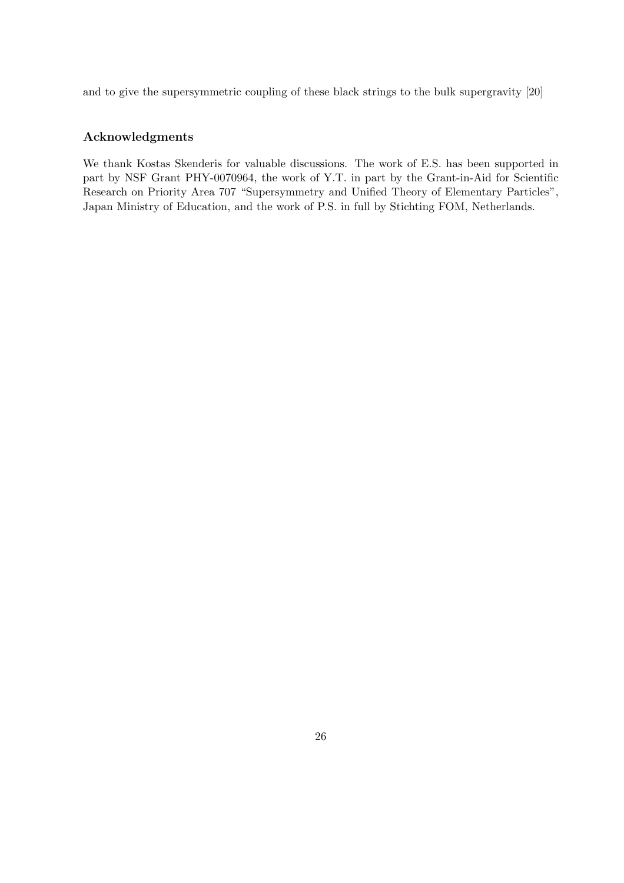and to give the supersymmetric coupling of these black strings to the bulk supergravity [20]

#### **Acknowledgments**

We thank Kostas Skenderis for valuable discussions. The work of E.S. has been supported in part by NSF Grant PHY-0070964, the work of Y.T. in part by the Grant-in-Aid for Scientific Research on Priority Area 707 "Supersymmetry and Unified Theory of Elementary Particles", Japan Ministry of Education, and the work of P.S. in full by Stichting FOM, Netherlands.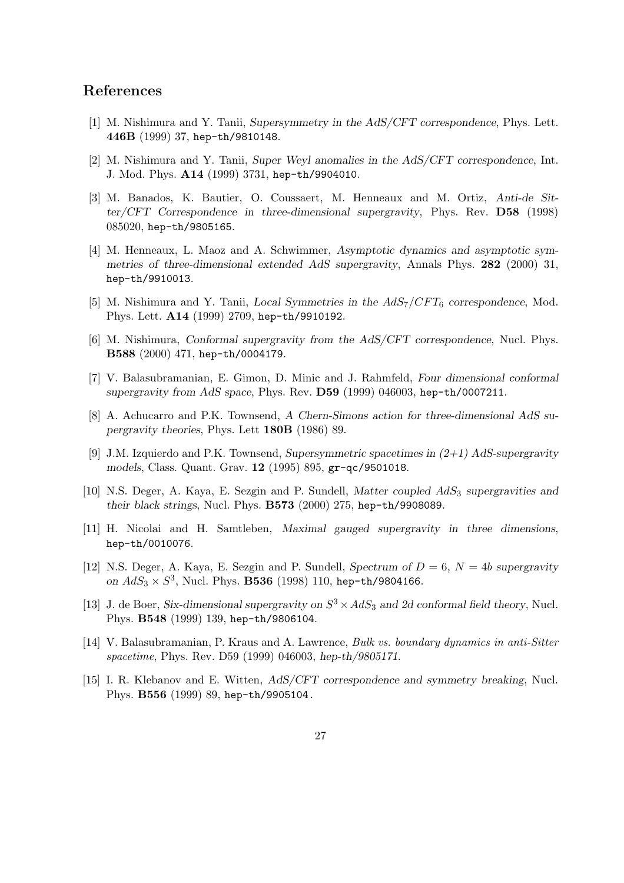### **References**

- [1] M. Nishimura and Y. Tanii, *Supersymmetry in the AdS/CFT correspondence*, Phys. Lett. **446B** (1999) 37, hep-th/9810148.
- [2] M. Nishimura and Y. Tanii, *Super Weyl anomalies in the AdS/CFT correspondence*, Int. J. Mod. Phys. **A14** (1999) 3731, hep-th/9904010.
- [3] M. Banados, K. Bautier, O. Coussaert, M. Henneaux and M. Ortiz, *Anti-de Sitter/CFT Correspondence in three-dimensional supergravity*, Phys. Rev. **D58** (1998) 085020, hep-th/9805165.
- [4] M. Henneaux, L. Maoz and A. Schwimmer, *Asymptotic dynamics and asymptotic symmetries of three-dimensional extended AdS supergravity*, Annals Phys. **282** (2000) 31, hep-th/9910013.
- [5] M. Nishimura and Y. Tanii, *Local Symmetries in the AdS*7*/CF T*<sup>6</sup> *correspondence*, Mod. Phys. Lett. **A14** (1999) 2709, hep-th/9910192.
- [6] M. Nishimura, *Conformal supergravity from the AdS/CFT correspondence*, Nucl. Phys. **B588** (2000) 471, hep-th/0004179.
- [7] V. Balasubramanian, E. Gimon, D. Minic and J. Rahmfeld, *Four dimensional conformal supergravity from AdS space*, Phys. Rev. **D59** (1999) 046003, hep-th/0007211.
- [8] A. Achucarro and P.K. Townsend, *A Chern-Simons action for three-dimensional AdS supergravity theories*, Phys. Lett **180B** (1986) 89.
- [9] J.M. Izquierdo and P.K. Townsend, *Supersymmetric spacetimes in (2+1) AdS-supergravity models*, Class. Quant. Grav. **12** (1995) 895, gr-qc/9501018.
- [10] N.S. Deger, A. Kaya, E. Sezgin and P. Sundell, *Matter coupled AdS*<sup>3</sup> *supergravities and their black strings*, Nucl. Phys. **B573** (2000) 275, hep-th/9908089.
- [11] H. Nicolai and H. Samtleben, *Maximal gauged supergravity in three dimensions*, hep-th/0010076.
- [12] N.S. Deger, A. Kaya, E. Sezgin and P. Sundell, *Spectrum of D* = 6*, N* = 4*b supergravity on*  $AdS_3 \times S^3$ , Nucl. Phys. **B536** (1998) 110, hep-th/9804166.
- [13] J. de Boer, *Six-dimensional supergravity on*  $S^3 \times AdS_3$  *and 2d conformal field theory*, Nucl. Phys. **B548** (1999) 139, hep-th/9806104.
- [14] V. Balasubramanian, P. Kraus and A. Lawrence, *Bulk vs. boundary dynamics in anti-Sitter spacetime*, Phys. Rev. D59 (1999) 046003, *hep-th/9805171*.
- [15] I. R. Klebanov and E. Witten, *AdS/CFT correspondence and symmetry breaking*, Nucl. Phys. **B556** (1999) 89, hep-th/9905104.